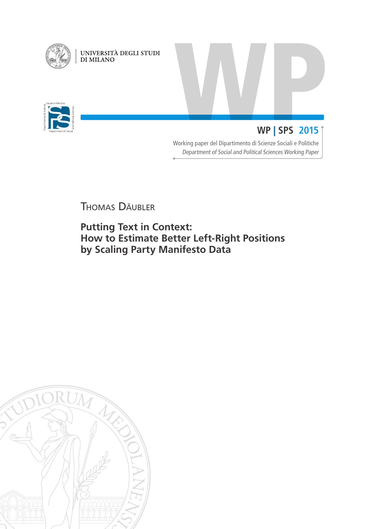

UNIVERSITÀ DEGLI STUDI<br>DI MILANO



# WP | SPS 2015 | **WP** | **SPS 2015**

Working paper del Dipartimento di Scienze Sociali e Politiche Department of Social and Political Sciences Working Paper

Thomas Däubler

**Putting Text in Context: How to Estimate Better Left-Right Positions by Scaling Party Manifesto Data**

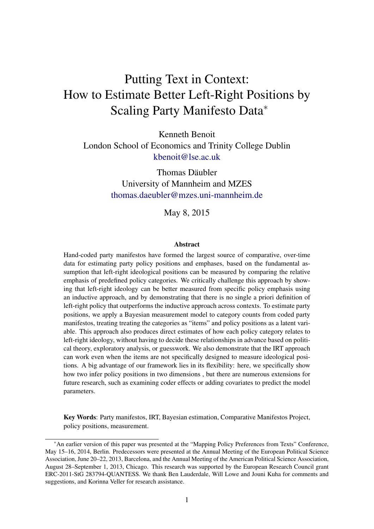# Putting Text in Context: How to Estimate Better Left-Right Positions by Scaling Party Manifesto Data<sup>∗</sup>

Kenneth Benoit London School of Economics and Trinity College Dublin [kbenoit@lse.ac.uk](mailto:kbenoit@lse.ac.uk)

> Thomas Däubler University of Mannheim and MZES [thomas.daeubler@mzes.uni-mannheim.de](mailto:thomas.daeubler@mzes.uni-mannheim.de)

> > May 8, 2015

### **Abstract**

Hand-coded party manifestos have formed the largest source of comparative, over-time data for estimating party policy positions and emphases, based on the fundamental assumption that left-right ideological positions can be measured by comparing the relative emphasis of predefined policy categories. We critically challenge this approach by showing that left-right ideology can be better measured from specific policy emphasis using an inductive approach, and by demonstrating that there is no single a priori definition of left-right policy that outperforms the inductive approach across contexts. To estimate party positions, we apply a Bayesian measurement model to category counts from coded party manifestos, treating treating the categories as "items" and policy positions as a latent variable. This approach also produces direct estimates of how each policy category relates to left-right ideology, without having to decide these relationships in advance based on political theory, exploratory analysis, or guesswork. We also demonstrate that the IRT approach can work even when the items are not specifically designed to measure ideological positions. A big advantage of our framework lies in its flexibility: here, we specifically show how two infer policy positions in two dimensions , but there are numerous extensions for future research, such as examining coder effects or adding covariates to predict the model parameters.

Key Words: Party manifestos, IRT, Bayesian estimation, Comparative Manifestos Project, policy positions, measurement.

<sup>∗</sup>An earlier version of this paper was presented at the "Mapping Policy Preferences from Texts" Conference, May 15–16, 2014, Berlin. Predecessors were presented at the Annual Meeting of the European Political Science Association, June 20–22, 2013, Barcelona, and the Annual Meeting of the American Political Science Association, August 28–September 1, 2013, Chicago. This research was supported by the European Research Council grant ERC-2011-StG 283794-QUANTESS. We thank Ben Lauderdale, Will Lowe and Jouni Kuha for comments and suggestions, and Korinna Veller for research assistance.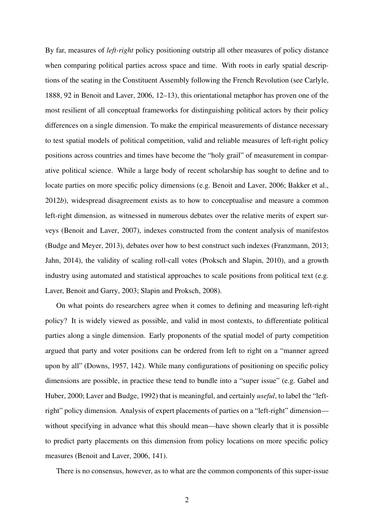By far, measures of *left-right* policy positioning outstrip all other measures of policy distance when comparing political parties across space and time. With roots in early spatial descriptions of the seating in the Constituent Assembly following the French Revolution (see [Carlyle,](#page-38-0) [1888,](#page-38-0) 92 in [Benoit and Laver,](#page-37-0) [2006,](#page-37-0) 12–13), this orientational metaphor has proven one of the most resilient of all conceptual frameworks for distinguishing political actors by their policy differences on a single dimension. To make the empirical measurements of distance necessary to test spatial models of political competition, valid and reliable measures of left-right policy positions across countries and times have become the "holy grail" of measurement in comparative political science. While a large body of recent scholarship has sought to define and to locate parties on more specific policy dimensions (e.g. [Benoit and Laver,](#page-37-0) [2006;](#page-37-0) [Bakker et al.,](#page-37-1) [2012](#page-37-1)*b*), widespread disagreement exists as to how to conceptualise and measure a common left-right dimension, as witnessed in numerous debates over the relative merits of expert surveys [\(Benoit and Laver,](#page-37-2) [2007\)](#page-37-2), indexes constructed from the content analysis of manifestos [\(Budge and Meyer,](#page-37-3) [2013\)](#page-37-3), debates over how to best construct such indexes [\(Franzmann,](#page-38-1) [2013;](#page-38-1) [Jahn,](#page-39-0) [2014\)](#page-39-0), the validity of scaling roll-call votes [\(Proksch and Slapin,](#page-40-0) [2010\)](#page-40-0), and a growth industry using automated and statistical approaches to scale positions from political text (e.g. [Laver, Benoit and Garry,](#page-39-1) [2003;](#page-39-1) [Slapin and Proksch,](#page-40-1) [2008\)](#page-40-1).

On what points do researchers agree when it comes to defining and measuring left-right policy? It is widely viewed as possible, and valid in most contexts, to differentiate political parties along a single dimension. Early proponents of the spatial model of party competition argued that party and voter positions can be ordered from left to right on a "manner agreed upon by all" [\(Downs,](#page-38-2) [1957,](#page-38-2) 142). While many configurations of positioning on specific policy dimensions are possible, in practice these tend to bundle into a "super issue" (e.g. [Gabel and](#page-38-3) [Huber,](#page-38-3) [2000;](#page-38-3) [Laver and Budge,](#page-39-2) [1992\)](#page-39-2) that is meaningful, and certainly *useful*, to label the "leftright" policy dimension. Analysis of expert placements of parties on a "left-right" dimension without specifying in advance what this should mean—have shown clearly that it is possible to predict party placements on this dimension from policy locations on more specific policy measures [\(Benoit and Laver,](#page-37-0) [2006,](#page-37-0) 141).

There is no consensus, however, as to what are the common components of this super-issue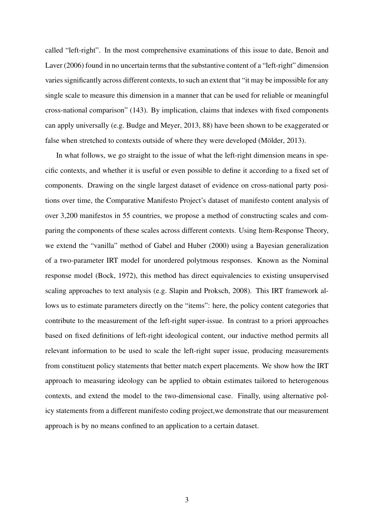called "left-right". In the most comprehensive examinations of this issue to date, [Benoit and](#page-37-0) [Laver](#page-37-0) [\(2006\)](#page-37-0) found in no uncertain terms that the substantive content of a "left-right" dimension varies significantly across different contexts, to such an extent that "it may be impossible for any single scale to measure this dimension in a manner that can be used for reliable or meaningful cross-national comparison" (143). By implication, claims that indexes with fixed components can apply universally (e.g. [Budge and Meyer,](#page-37-3) [2013,](#page-37-3) 88) have been shown to be exaggerated or false when stretched to contexts outside of where they were developed (Mölder, [2013\)](#page-39-3).

In what follows, we go straight to the issue of what the left-right dimension means in specific contexts, and whether it is useful or even possible to define it according to a fixed set of components. Drawing on the single largest dataset of evidence on cross-national party positions over time, the Comparative Manifesto Project's dataset of manifesto content analysis of over 3,200 manifestos in 55 countries, we propose a method of constructing scales and comparing the components of these scales across different contexts. Using Item-Response Theory, we extend the "vanilla" method of [Gabel and Huber](#page-38-3) [\(2000\)](#page-38-3) using a Bayesian generalization of a two-parameter IRT model for unordered polytmous responses. Known as the Nominal response model [\(Bock,](#page-37-4) [1972\)](#page-37-4), this method has direct equivalencies to existing unsupervised scaling approaches to text analysis (e.g. [Slapin and Proksch,](#page-40-1) [2008\)](#page-40-1). This IRT framework allows us to estimate parameters directly on the "items": here, the policy content categories that contribute to the measurement of the left-right super-issue. In contrast to a priori approaches based on fixed definitions of left-right ideological content, our inductive method permits all relevant information to be used to scale the left-right super issue, producing measurements from constituent policy statements that better match expert placements. We show how the IRT approach to measuring ideology can be applied to obtain estimates tailored to heterogenous contexts, and extend the model to the two-dimensional case. Finally, using alternative policy statements from a different manifesto coding project,we demonstrate that our measurement approach is by no means confined to an application to a certain dataset.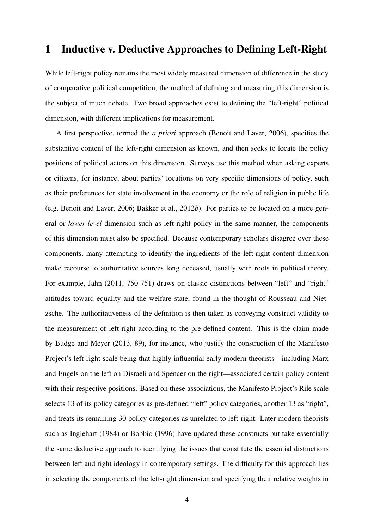# 1 Inductive v. Deductive Approaches to Defining Left-Right

While left-right policy remains the most widely measured dimension of difference in the study of comparative political competition, the method of defining and measuring this dimension is the subject of much debate. Two broad approaches exist to defining the "left-right" political dimension, with different implications for measurement.

A first perspective, termed the *a priori* approach [\(Benoit and Laver,](#page-37-0) [2006\)](#page-37-0), specifies the substantive content of the left-right dimension as known, and then seeks to locate the policy positions of political actors on this dimension. Surveys use this method when asking experts or citizens, for instance, about parties' locations on very specific dimensions of policy, such as their preferences for state involvement in the economy or the role of religion in public life (e.g. [Benoit and Laver,](#page-37-0) [2006;](#page-37-0) [Bakker et al.,](#page-37-1) [2012](#page-37-1)*b*). For parties to be located on a more general or *lower-level* dimension such as left-right policy in the same manner, the components of this dimension must also be specified. Because contemporary scholars disagree over these components, many attempting to identify the ingredients of the left-right content dimension make recourse to authoritative sources long deceased, usually with roots in political theory. For example, [Jahn](#page-39-4) [\(2011,](#page-39-4) 750-751) draws on classic distinctions between "left" and "right" attitudes toward equality and the welfare state, found in the thought of Rousseau and Nietzsche. The authoritativeness of the definition is then taken as conveying construct validity to the measurement of left-right according to the pre-defined content. This is the claim made by [Budge and Meyer](#page-37-3) [\(2013,](#page-37-3) 89), for instance, who justify the construction of the Manifesto Project's left-right scale being that highly influential early modern theorists—including Marx and Engels on the left on Disraeli and Spencer on the right—associated certain policy content with their respective positions. Based on these associations, the Manifesto Project's Rile scale selects 13 of its policy categories as pre-defined "left" policy categories, another 13 as "right", and treats its remaining 30 policy categories as unrelated to left-right. Later modern theorists such as [Inglehart](#page-39-5) [\(1984\)](#page-39-5) or [Bobbio](#page-37-5) [\(1996\)](#page-37-5) have updated these constructs but take essentially the same deductive approach to identifying the issues that constitute the essential distinctions between left and right ideology in contemporary settings. The difficulty for this approach lies in selecting the components of the left-right dimension and specifying their relative weights in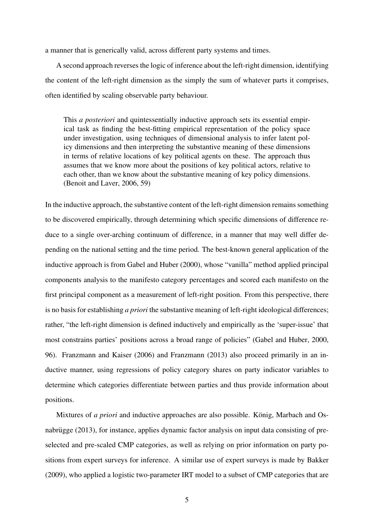a manner that is generically valid, across different party systems and times.

A second approach reverses the logic of inference about the left-right dimension, identifying the content of the left-right dimension as the simply the sum of whatever parts it comprises, often identified by scaling observable party behaviour.

This *a posteriori* and quintessentially inductive approach sets its essential empirical task as finding the best-fitting empirical representation of the policy space under investigation, using techniques of dimensional analysis to infer latent policy dimensions and then interpreting the substantive meaning of these dimensions in terms of relative locations of key political agents on these. The approach thus assumes that we know more about the positions of key political actors, relative to each other, than we know about the substantive meaning of key policy dimensions. [\(Benoit and Laver,](#page-37-0) [2006,](#page-37-0) 59)

In the inductive approach, the substantive content of the left-right dimension remains something to be discovered empirically, through determining which specific dimensions of difference reduce to a single over-arching continuum of difference, in a manner that may well differ depending on the national setting and the time period. The best-known general application of the inductive approach is from [Gabel and Huber](#page-38-3) [\(2000\)](#page-38-3), whose "vanilla" method applied principal components analysis to the manifesto category percentages and scored each manifesto on the first principal component as a measurement of left-right position. From this perspective, there is no basis for establishing *a priori* the substantive meaning of left-right ideological differences; rather, "the left-right dimension is defined inductively and empirically as the 'super-issue' that most constrains parties' positions across a broad range of policies" [\(Gabel and Huber,](#page-38-3) [2000,](#page-38-3) 96). [Franzmann and Kaiser](#page-38-4) [\(2006\)](#page-38-4) and [Franzmann](#page-38-1) [\(2013\)](#page-38-1) also proceed primarily in an inductive manner, using regressions of policy category shares on party indicator variables to determine which categories differentiate between parties and thus provide information about positions.

Mixtures of *a priori* and inductive approaches are also possible. König, Marbach and Os[nabrugge](#page-39-6)  $(2013)$ , for instance, applies dynamic factor analysis on input data consisting of preselected and pre-scaled CMP categories, as well as relying on prior information on party positions from expert surveys for inference. A similar use of expert surveys is made by [Bakker](#page-37-6) [\(2009\)](#page-37-6), who applied a logistic two-parameter IRT model to a subset of CMP categories that are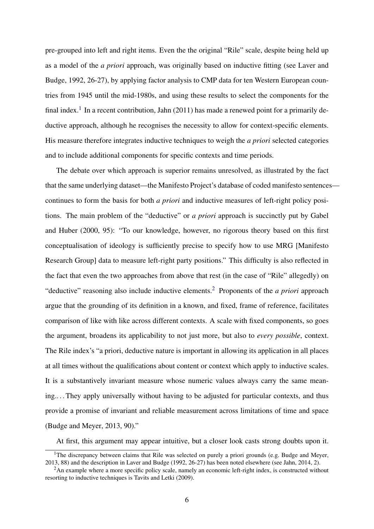pre-grouped into left and right items. Even the the original "Rile" scale, despite being held up as a model of the *a priori* approach, was originally based on inductive fitting (see [Laver and](#page-39-2) [Budge,](#page-39-2) [1992,](#page-39-2) 26-27), by applying factor analysis to CMP data for ten Western European countries from 1945 until the mid-1980s, and using these results to select the components for the final index.<sup>[1](#page-6-0)</sup> In a recent contribution, [Jahn](#page-39-4) [\(2011\)](#page-39-4) has made a renewed point for a primarily deductive approach, although he recognises the necessity to allow for context-specific elements. His measure therefore integrates inductive techniques to weigh the *a priori* selected categories and to include additional components for specific contexts and time periods.

The debate over which approach is superior remains unresolved, as illustrated by the fact that the same underlying dataset—the Manifesto Project's database of coded manifesto sentences continues to form the basis for both *a priori* and inductive measures of left-right policy positions. The main problem of the "deductive" or *a priori* approach is succinctly put by [Gabel](#page-38-3) [and Huber](#page-38-3) [\(2000,](#page-38-3) 95): "To our knowledge, however, no rigorous theory based on this first conceptualisation of ideology is sufficiently precise to specify how to use MRG [Manifesto Research Group] data to measure left-right party positions." This difficulty is also reflected in the fact that even the two approaches from above that rest (in the case of "Rile" allegedly) on "deductive" reasoning also include inductive elements.[2](#page-6-1) Proponents of the *a priori* approach argue that the grounding of its definition in a known, and fixed, frame of reference, facilitates comparison of like with like across different contexts. A scale with fixed components, so goes the argument, broadens its applicability to not just more, but also to *every possible*, context. The Rile index's "a priori, deductive nature is important in allowing its application in all places at all times without the qualifications about content or context which apply to inductive scales. It is a substantively invariant measure whose numeric values always carry the same meaning.. . . They apply universally without having to be adjusted for particular contexts, and thus provide a promise of invariant and reliable measurement across limitations of time and space [\(Budge and Meyer,](#page-37-3) [2013,](#page-37-3) 90)."

At first, this argument may appear intuitive, but a closer look casts strong doubts upon it.

<span id="page-6-0"></span><sup>&</sup>lt;sup>1</sup>The discrepancy between claims that Rile was selected on purely a priori grounds (e.g. [Budge and Meyer,](#page-37-3) [2013,](#page-37-3) 88) and the description in [Laver and Budge](#page-39-2) [\(1992,](#page-39-2) 26-27) has been noted elsewhere (see [Jahn,](#page-39-0) [2014,](#page-39-0) 2).

<span id="page-6-1"></span><sup>&</sup>lt;sup>2</sup>An example where a more specific policy scale, namely an economic left-right index, is constructed without resorting to inductive techniques is [Tavits and Letki](#page-40-2) [\(2009\)](#page-40-2).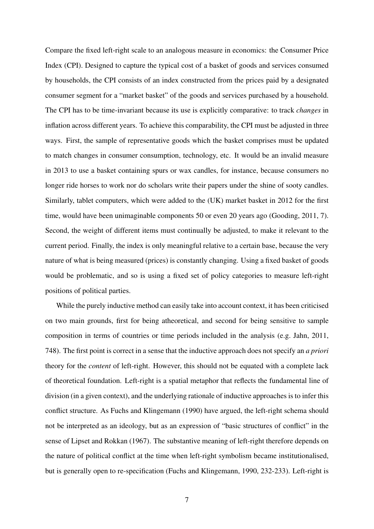Compare the fixed left-right scale to an analogous measure in economics: the Consumer Price Index (CPI). Designed to capture the typical cost of a basket of goods and services consumed by households, the CPI consists of an index constructed from the prices paid by a designated consumer segment for a "market basket" of the goods and services purchased by a household. The CPI has to be time-invariant because its use is explicitly comparative: to track *changes* in inflation across different years. To achieve this comparability, the CPI must be adjusted in three ways. First, the sample of representative goods which the basket comprises must be updated to match changes in consumer consumption, technology, etc. It would be an invalid measure in 2013 to use a basket containing spurs or wax candles, for instance, because consumers no longer ride horses to work nor do scholars write their papers under the shine of sooty candles. Similarly, tablet computers, which were added to the (UK) market basket in 2012 for the first time, would have been unimaginable components 50 or even 20 years ago [\(Gooding,](#page-38-5) [2011,](#page-38-5) 7). Second, the weight of different items must continually be adjusted, to make it relevant to the current period. Finally, the index is only meaningful relative to a certain base, because the very nature of what is being measured (prices) is constantly changing. Using a fixed basket of goods would be problematic, and so is using a fixed set of policy categories to measure left-right positions of political parties.

While the purely inductive method can easily take into account context, it has been criticised on two main grounds, first for being atheoretical, and second for being sensitive to sample composition in terms of countries or time periods included in the analysis (e.g. [Jahn,](#page-39-4) [2011,](#page-39-4) 748). The first point is correct in a sense that the inductive approach does not specify an *a priori* theory for the *content* of left-right. However, this should not be equated with a complete lack of theoretical foundation. Left-right is a spatial metaphor that reflects the fundamental line of division (in a given context), and the underlying rationale of inductive approaches is to infer this conflict structure. As [Fuchs and Klingemann](#page-38-6) [\(1990\)](#page-38-6) have argued, the left-right schema should not be interpreted as an ideology, but as an expression of "basic structures of conflict" in the sense of [Lipset and Rokkan](#page-39-7) [\(1967\)](#page-39-7). The substantive meaning of left-right therefore depends on the nature of political conflict at the time when left-right symbolism became institutionalised, but is generally open to re-specification [\(Fuchs and Klingemann,](#page-38-6) [1990,](#page-38-6) 232-233). Left-right is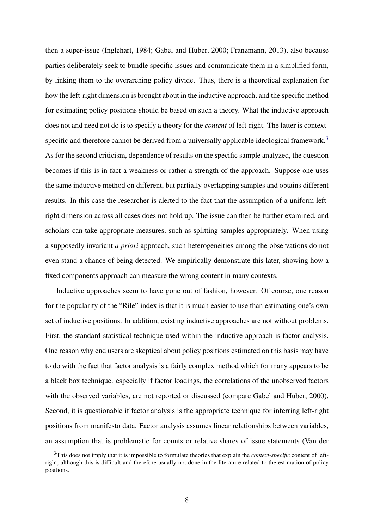then a super-issue [\(Inglehart,](#page-39-5) [1984;](#page-39-5) [Gabel and Huber,](#page-38-3) [2000;](#page-38-3) [Franzmann,](#page-38-1) [2013\)](#page-38-1), also because parties deliberately seek to bundle specific issues and communicate them in a simplified form, by linking them to the overarching policy divide. Thus, there is a theoretical explanation for how the left-right dimension is brought about in the inductive approach, and the specific method for estimating policy positions should be based on such a theory. What the inductive approach does not and need not do is to specify a theory for the *content* of left-right. The latter is context-specific and therefore cannot be derived from a universally applicable ideological framework.<sup>[3](#page-8-0)</sup> As for the second criticism, dependence of results on the specific sample analyzed, the question becomes if this is in fact a weakness or rather a strength of the approach. Suppose one uses the same inductive method on different, but partially overlapping samples and obtains different results. In this case the researcher is alerted to the fact that the assumption of a uniform leftright dimension across all cases does not hold up. The issue can then be further examined, and scholars can take appropriate measures, such as splitting samples appropriately. When using a supposedly invariant *a priori* approach, such heterogeneities among the observations do not even stand a chance of being detected. We empirically demonstrate this later, showing how a fixed components approach can measure the wrong content in many contexts.

Inductive approaches seem to have gone out of fashion, however. Of course, one reason for the popularity of the "Rile" index is that it is much easier to use than estimating one's own set of inductive positions. In addition, existing inductive approaches are not without problems. First, the standard statistical technique used within the inductive approach is factor analysis. One reason why end users are skeptical about policy positions estimated on this basis may have to do with the fact that factor analysis is a fairly complex method which for many appears to be a black box technique. especially if factor loadings, the correlations of the unobserved factors with the observed variables, are not reported or discussed (compare [Gabel and Huber,](#page-38-3) [2000\)](#page-38-3). Second, it is questionable if factor analysis is the appropriate technique for inferring left-right positions from manifesto data. Factor analysis assumes linear relationships between variables, an assumption that is problematic for counts or relative shares of issue statements [\(Van der](#page-40-3)

<span id="page-8-0"></span><sup>3</sup>[This does not imply that it is impossible to formulate theories that explain the](#page-40-3) *context-specific* content of left[right, although this is difficult and therefore usually not done in the literature related to the estimation of policy](#page-40-3) [positions.](#page-40-3)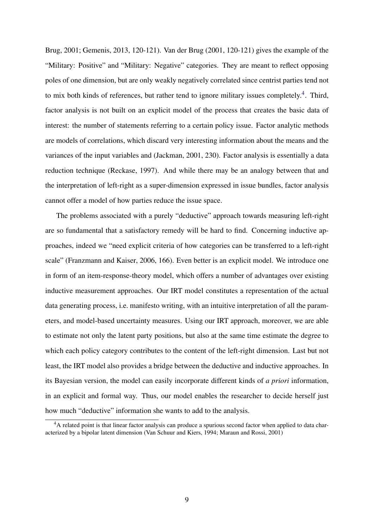[Brug,](#page-40-3) [2001;](#page-40-3) [Gemenis,](#page-38-7) [2013,](#page-38-7) 120-121). [Van der Brug](#page-40-3) [\(2001,](#page-40-3) 120-121) gives the example of the "Military: Positive" and "Military: Negative" categories. They are meant to reflect opposing poles of one dimension, but are only weakly negatively correlated since centrist parties tend not to mix both kinds of references, but rather tend to ignore military issues completely.<sup>[4](#page-9-0)</sup>. Third, factor analysis is not built on an explicit model of the process that creates the basic data of interest: the number of statements referring to a certain policy issue. Factor analytic methods are models of correlations, which discard very interesting information about the means and the variances of the input variables and [\(Jackman,](#page-39-8) [2001,](#page-39-8) 230). Factor analysis is essentially a data reduction technique [\(Reckase,](#page-40-4) [1997\)](#page-40-4). And while there may be an analogy between that and the interpretation of left-right as a super-dimension expressed in issue bundles, factor analysis cannot offer a model of how parties reduce the issue space.

The problems associated with a purely "deductive" approach towards measuring left-right are so fundamental that a satisfactory remedy will be hard to find. Concerning inductive approaches, indeed we "need explicit criteria of how categories can be transferred to a left-right scale" [\(Franzmann and Kaiser,](#page-38-4) [2006,](#page-38-4) 166). Even better is an explicit model. We introduce one in form of an item-response-theory model, which offers a number of advantages over existing inductive measurement approaches. Our IRT model constitutes a representation of the actual data generating process, i.e. manifesto writing, with an intuitive interpretation of all the parameters, and model-based uncertainty measures. Using our IRT approach, moreover, we are able to estimate not only the latent party positions, but also at the same time estimate the degree to which each policy category contributes to the content of the left-right dimension. Last but not least, the IRT model also provides a bridge between the deductive and inductive approaches. In its Bayesian version, the model can easily incorporate different kinds of *a priori* information, in an explicit and formal way. Thus, our model enables the researcher to decide herself just how much "deductive" information she wants to add to the analysis.

<span id="page-9-0"></span><sup>&</sup>lt;sup>4</sup>A related point is that linear factor analysis can produce a spurious second factor when applied to data characterized by a bipolar latent dimension [\(Van Schuur and Kiers,](#page-40-5) [1994;](#page-40-5) [Maraun and Rossi,](#page-39-9) [2001\)](#page-39-9)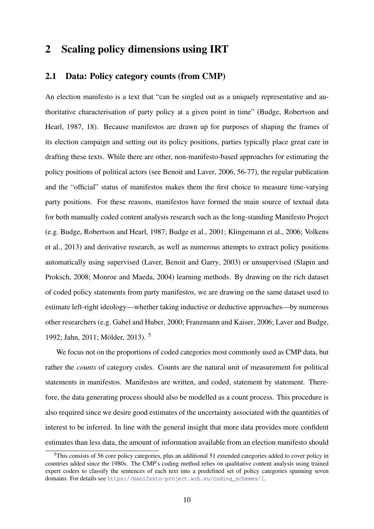# 2 Scaling policy dimensions using IRT

### 2.1 Data: Policy category counts (from CMP)

An election manifesto is a text that "can be singled out as a uniquely representative and authoritative characterisation of party policy at a given point in time" [\(Budge, Robertson and](#page-37-7) [Hearl,](#page-37-7) [1987,](#page-37-7) 18). Because manifestos are drawn up for purposes of shaping the frames of its election campaign and setting out its policy positions, parties typically place great care in drafting these texts. While there are other, non-manifesto-based approaches for estimating the policy positions of political actors (see [Benoit and Laver,](#page-37-0) [2006,](#page-37-0) 56-77), the regular publication and the "official" status of manifestos makes them the first choice to measure time-varying party positions. For these reasons, manifestos have formed the main source of textual data for both manually coded content analysis research such as the long-standing Manifesto Project (e.g. [Budge, Robertson and Hearl,](#page-37-7) [1987;](#page-37-7) [Budge et al.,](#page-37-8) [2001;](#page-37-8) [Klingemann et al.,](#page-39-10) [2006;](#page-39-10) [Volkens](#page-40-6) [et al.,](#page-40-6) [2013\)](#page-40-6) and derivative research, as well as numerous attempts to extract policy positions automatically using supervised [\(Laver, Benoit and Garry,](#page-39-1) [2003\)](#page-39-1) or unsupervised [\(Slapin and](#page-40-1) [Proksch,](#page-40-1) [2008;](#page-40-1) [Monroe and Maeda,](#page-40-7) [2004\)](#page-40-7) learning methods. By drawing on the rich dataset of coded policy statements from party manifestos, we are drawing on the same dataset used to estimate left-right ideology—whether taking inductive or deductive approaches—by numerous other researchers (e.g. [Gabel and Huber,](#page-38-3) [2000;](#page-38-3) [Franzmann and Kaiser,](#page-38-4) [2006;](#page-38-4) [Laver and Budge,](#page-39-2) [1992;](#page-39-2) [Jahn,](#page-39-4) [2011;](#page-39-4) Mölder, [2013\)](#page-39-3). <sup>[5](#page-10-0)</sup>

We focus not on the proportions of coded categories most commonly used as CMP data, but rather the *counts* of category codes. Counts are the natural unit of measurement for political statements in manifestos. Manifestos are written, and coded, statement by statement. Therefore, the data generating process should also be modelled as a count process. This procedure is also required since we desire good estimates of the uncertainty associated with the quantities of interest to be inferred. In line with the general insight that more data provides more confident estimates than less data, the amount of information available from an election manifesto should

<span id="page-10-0"></span><sup>&</sup>lt;sup>5</sup>This consists of 56 core policy categories, plus an additional 51 extended categories added to cover policy in countries added since the 1980s. The CMP's coding method relies on qualitative content analysis using trained expert coders to classify the sentences of each text into a predefined set of policy categories spanning seven domains. For details see [https://manifesto-project.wzb.eu/coding\\_schemes/1](https://manifesto-project.wzb.eu/coding_schemes/1).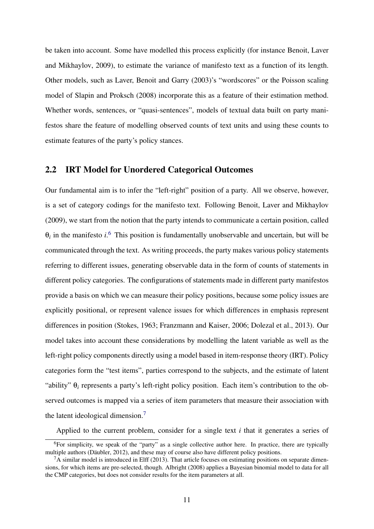be taken into account. Some have modelled this process explicitly (for instance [Benoit, Laver](#page-37-9) [and Mikhaylov,](#page-37-9) [2009\)](#page-37-9), to estimate the variance of manifesto text as a function of its length. Other models, such as [Laver, Benoit and Garry](#page-39-1) [\(2003\)](#page-39-1)'s "wordscores" or the Poisson scaling model of [Slapin and Proksch](#page-40-1) [\(2008\)](#page-40-1) incorporate this as a feature of their estimation method. Whether words, sentences, or "quasi-sentences", models of textual data built on party manifestos share the feature of modelling observed counts of text units and using these counts to estimate features of the party's policy stances.

### 2.2 IRT Model for Unordered Categorical Outcomes

Our fundamental aim is to infer the "left-right" position of a party. All we observe, however, is a set of category codings for the manifesto text. Following [Benoit, Laver and Mikhaylov](#page-37-9) [\(2009\)](#page-37-9), we start from the notion that the party intends to communicate a certain position, called  $\theta_i$  in the manifesto *i*.<sup>[6](#page-11-0)</sup> This position is fundamentally unobservable and uncertain, but will be communicated through the text. As writing proceeds, the party makes various policy statements referring to different issues, generating observable data in the form of counts of statements in different policy categories. The configurations of statements made in different party manifestos provide a basis on which we can measure their policy positions, because some policy issues are explicitly positional, or represent valence issues for which differences in emphasis represent differences in position [\(Stokes,](#page-40-8) [1963;](#page-40-8) [Franzmann and Kaiser,](#page-38-4) [2006;](#page-38-4) [Dolezal et al.,](#page-38-8) [2013\)](#page-38-8). Our model takes into account these considerations by modelling the latent variable as well as the left-right policy components directly using a model based in item-response theory (IRT). Policy categories form the "test items", parties correspond to the subjects, and the estimate of latent "ability" θ*<sup>i</sup>* represents a party's left-right policy position. Each item's contribution to the observed outcomes is mapped via a series of item parameters that measure their association with the latent ideological dimension.[7](#page-11-1)

Applied to the current problem, consider for a single text *i* that it generates a series of

<span id="page-11-0"></span> $\overline{6}$ For simplicity, we speak of the "party" as a single collective author here. In practice, there are typically multiple authors (Däubler, [2012\)](#page-38-9), and these may of course also have different policy positions.

<span id="page-11-1"></span> ${}^{7}A$  similar model is introduced in [Elff](#page-38-10) [\(2013\)](#page-38-10). That article focuses on estimating positions on separate dimensions, for which items are pre-selected, though. [Albright](#page-37-10) [\(2008\)](#page-37-10) applies a Bayesian binomial model to data for all the CMP categories, but does not consider results for the item parameters at all.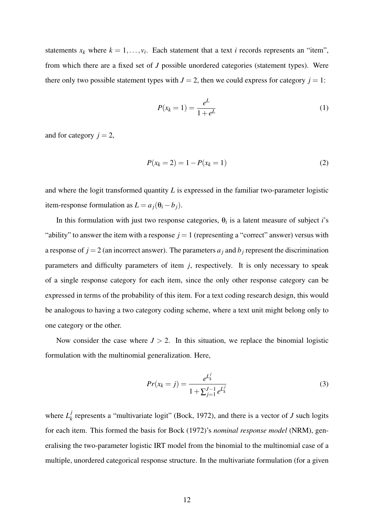statements  $x_k$  where  $k = 1, \ldots, v_i$ . Each statement that a text *i* records represents an "item", from which there are a fixed set of *J* possible unordered categories (statement types). Were there only two possible statement types with  $J = 2$ , then we could express for category  $j = 1$ :

$$
P(x_k = 1) = \frac{e^L}{1 + e^L}
$$
 (1)

and for category  $j = 2$ ,

$$
P(x_k = 2) = 1 - P(x_k = 1)
$$
\n(2)

and where the logit transformed quantity *L* is expressed in the familiar two-parameter logistic item-response formulation as  $L = a_j(\theta_i - b_j)$ .

In this formulation with just two response categories,  $\theta_i$  is a latent measure of subject *i*'s "ability" to answer the item with a response  $j = 1$  (representing a "correct" answer) versus with a response of  $j = 2$  (an incorrect answer). The parameters  $a_j$  and  $b_j$  represent the discrimination parameters and difficulty parameters of item *j*, respectively. It is only necessary to speak of a single response category for each item, since the only other response category can be expressed in terms of the probability of this item. For a text coding research design, this would be analogous to having a two category coding scheme, where a text unit might belong only to one category or the other.

Now consider the case where  $J > 2$ . In this situation, we replace the binomial logistic formulation with the multinomial generalization. Here,

$$
Pr(x_k = j) = \frac{e^{L_k^j}}{1 + \sum_{j=1}^{J-1} e^{L_k^j}}
$$
(3)

where  $L_k^j$  $\mathbf{k}$ <sup> $J$ </sup> represents a "multivariate logit" [\(Bock,](#page-37-4) [1972\)](#page-37-4), and there is a vector of *J* such logits for each item. This formed the basis for [Bock](#page-37-4) [\(1972\)](#page-37-4)'s *nominal response model* (NRM), generalising the two-parameter logistic IRT model from the binomial to the multinomial case of a multiple, unordered categorical response structure. In the multivariate formulation (for a given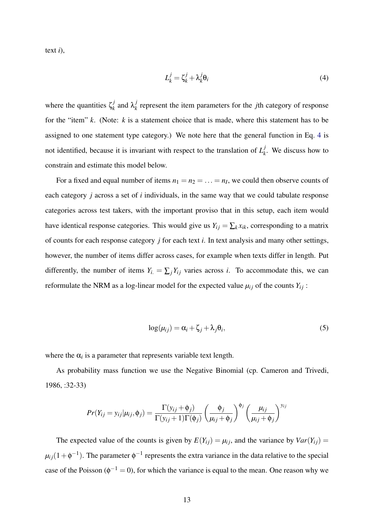text *i*),

<span id="page-13-0"></span>
$$
L_k^j = \zeta_k^j + \lambda_k^j \theta_i \tag{4}
$$

where the quantities  $\zeta_k^j$  $\lambda_k^j$  and  $\lambda_k^j$  $k_k$ <sup> $l$ </sup> represent the item parameters for the *j*th category of response for the "item" *k*. (Note: *k* is a statement choice that is made, where this statement has to be assigned to one statement type category.) We note here that the general function in Eq. [4](#page-13-0) is not identified, because it is invariant with respect to the translation of  $L<sub>k</sub><sup>j</sup>$  $k<sub>k</sub>$ . We discuss how to constrain and estimate this model below.

For a fixed and equal number of items  $n_1 = n_2 = \ldots = n_I$ , we could then observe counts of each category *j* across a set of *i* individuals, in the same way that we could tabulate response categories across test takers, with the important proviso that in this setup, each item would have identical response categories. This would give us  $Y_{ij} = \sum_k x_{ik}$ , corresponding to a matrix of counts for each response category *j* for each text *i*. In text analysis and many other settings, however, the number of items differ across cases, for example when texts differ in length. Put differently, the number of items  $Y_i = \sum_j Y_{ij}$  varies across *i*. To accommodate this, we can reformulate the NRM as a log-linear model for the expected value  $\mu_{ij}$  of the counts  $Y_{ij}$ :

<span id="page-13-1"></span>
$$
\log(\mu_{ij}) = \alpha_i + \zeta_j + \lambda_j \theta_i, \tag{5}
$$

where the  $\alpha_i$  is a parameter that represents variable text length.

As probability mass function we use the Negative Binomial (cp. [Cameron and Trivedi,](#page-38-11) [1986,](#page-38-11) :32-33)

$$
Pr(Y_{ij} = y_{ij} | \mu_{ij}, \phi_j) = \frac{\Gamma(y_{ij} + \phi_j)}{\Gamma(y_{ij} + 1)\Gamma(\phi_j)} \left(\frac{\phi_j}{\mu_{ij} + \phi_j}\right)^{\phi_j} \left(\frac{\mu_{ij}}{\mu_{ij} + \phi_j}\right)^{y_{ij}}
$$

The expected value of the counts is given by  $E(Y_{ij}) = \mu_{ij}$ , and the variance by  $Var(Y_{ij}) =$  $\mu_{ij}(1+\phi^{-1})$ . The parameter  $\phi^{-1}$  represents the extra variance in the data relative to the special case of the Poisson ( $\phi^{-1} = 0$ ), for which the variance is equal to the mean. One reason why we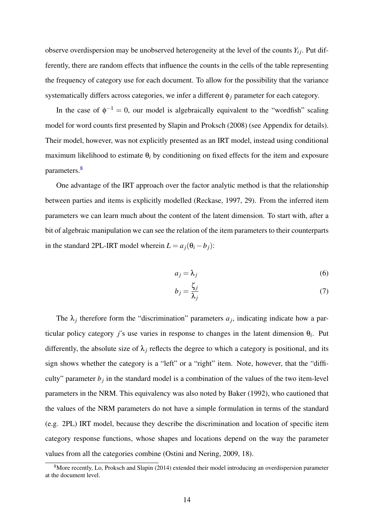observe overdispersion may be unobserved heterogeneity at the level of the counts  $Y_{ij}$ . Put differently, there are random effects that influence the counts in the cells of the table representing the frequency of category use for each document. To allow for the possibility that the variance systematically differs across categories, we infer a different φ*<sup>j</sup>* parameter for each category.

In the case of  $\phi^{-1} = 0$ , our model is algebraically equivalent to the "wordfish" scaling model for word counts first presented by [Slapin and Proksch](#page-40-1) [\(2008\)](#page-40-1) (see Appendix for details). Their model, however, was not explicitly presented as an IRT model, instead using conditional maximum likelihood to estimate θ*<sup>i</sup>* by conditioning on fixed effects for the item and exposure parameters.<sup>[8](#page-14-0)</sup>

One advantage of the IRT approach over the factor analytic method is that the relationship between parties and items is explicitly modelled [\(Reckase,](#page-40-4) [1997,](#page-40-4) 29). From the inferred item parameters we can learn much about the content of the latent dimension. To start with, after a bit of algebraic manipulation we can see the relation of the item parameters to their counterparts in the standard 2PL-IRT model wherein  $L = a_j(\theta_i - b_j)$ :

$$
a_j = \lambda_j \tag{6}
$$

$$
b_j = \frac{\zeta_j}{\lambda_j} \tag{7}
$$

The  $\lambda_j$  therefore form the "discrimination" parameters  $a_j$ , indicating indicate how a particular policy category *j*'s use varies in response to changes in the latent dimension  $\theta_i$ . Put differently, the absolute size of  $\lambda_i$  reflects the degree to which a category is positional, and its sign shows whether the category is a "left" or a "right" item. Note, however, that the "difficulty" parameter  $b_j$  in the standard model is a combination of the values of the two item-level parameters in the NRM. This equivalency was also noted by [Baker](#page-37-11) [\(1992\)](#page-37-11), who cautioned that the values of the NRM parameters do not have a simple formulation in terms of the standard (e.g. 2PL) IRT model, because they describe the discrimination and location of specific item category response functions, whose shapes and locations depend on the way the parameter values from all the categories combine [\(Ostini and Nering,](#page-40-9) [2009,](#page-40-9) 18).

<span id="page-14-0"></span><sup>&</sup>lt;sup>8</sup>More recently, [Lo, Proksch and Slapin](#page-39-11) [\(2014\)](#page-39-11) extended their model introducing an overdispersion parameter at the document level.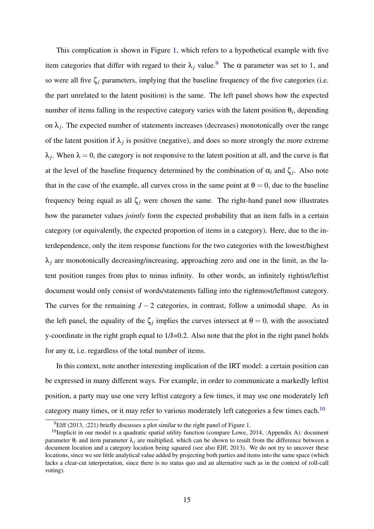This complication is shown in Figure [1,](#page-16-0) which refers to a hypothetical example with five item categories that differ with regard to their  $\lambda_i$  value.<sup>[9](#page-15-0)</sup> The  $\alpha$  parameter was set to 1, and so were all five  $\zeta_i$  parameters, implying that the baseline frequency of the five categories (i.e. the part unrelated to the latent position) is the same. The left panel shows how the expected number of items falling in the respective category varies with the latent position  $\theta_i$ , depending on  $\lambda_j$ . The expected number of statements increases (decreases) monotonically over the range of the latent position if  $\lambda_j$  is positive (negative), and does so more strongly the more extreme  $\lambda_j$ . When  $\lambda = 0$ , the category is not responsive to the latent position at all, and the curve is flat at the level of the baseline frequency determined by the combination of  $\alpha_i$  and  $\zeta_j$ . Also note that in the case of the example, all curves cross in the same point at  $\theta = 0$ , due to the baseline frequency being equal as all  $\zeta_i$  were chosen the same. The right-hand panel now illustrates how the parameter values *jointly* form the expected probability that an item falls in a certain category (or equivalently, the expected proportion of items in a category). Here, due to the interdependence, only the item response functions for the two categories with the lowest/highest  $\lambda_i$  are monotonically decreasing/increasing, approaching zero and one in the limit, as the latent position ranges from plus to minus infinity. In other words, an infinitely rightist/leftist document would only consist of words/statements falling into the rightmost/leftmost category. The curves for the remaining  $J - 2$  categories, in contrast, follow a unimodal shape. As in the left panel, the equality of the  $\zeta_j$  implies the curves intersect at  $\theta = 0$ , with the associated y-coordinate in the right graph equal to 1/J=0.2. Also note that the plot in the right panel holds for any  $\alpha$ , i.e. regardless of the total number of items.

In this context, note another interesting implication of the IRT model: a certain position can be expressed in many different ways. For example, in order to communicate a markedly leftist position, a party may use one very leftist category a few times, it may use one moderately left category many times, or it may refer to various moderately left categories a few times each.<sup>[10](#page-15-1)</sup>

<span id="page-15-1"></span><span id="page-15-0"></span> $^{9}$ [Elff](#page-38-10) [\(2013,](#page-38-10) :221) briefly discusses a plot similar to the right panel of Figure [1.](#page-16-0)

<sup>&</sup>lt;sup>10</sup>Implicit in our model is a quadratic spatial utility function (compare [Lowe,](#page-39-12) [2014,](#page-39-12) :Appendix A): document parameter  $\theta_i$  and item parameter  $\lambda_i$  are multiplied, which can be shown to result from the difference between a document location and a category location being squared (see also [Elff,](#page-38-10) [2013\)](#page-38-10). We do not try to uncover these locations, since we see little analytical value added by projecting both parties and items into the same space (which lacks a clear-cut interpretation, since there is no status quo and an alternative such as in the context of roll-call voting).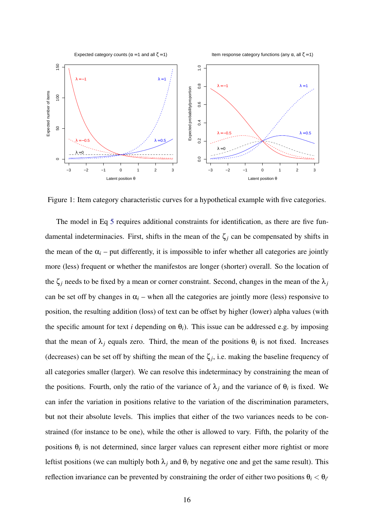Expected category counts ( $\alpha$  = 1 and all  $\zeta$  = 1)

Item response category functions (any  $\alpha$ , all  $\zeta$  = 1)



<span id="page-16-0"></span>Figure 1: Item category characteristic curves for a hypothetical example with five categories.

The model in Eq [5](#page-13-1) requires additional constraints for identification, as there are five fundamental indeterminacies. First, shifts in the mean of the  $\zeta_j$  can be compensated by shifts in the mean of the  $\alpha_i$  – put differently, it is impossible to infer whether all categories are jointly more (less) frequent or whether the manifestos are longer (shorter) overall. So the location of the  $\zeta_j$  needs to be fixed by a mean or corner constraint. Second, changes in the mean of the  $\lambda_j$ can be set off by changes in  $\alpha$ <sub>i</sub> – when all the categories are jointly more (less) responsive to position, the resulting addition (loss) of text can be offset by higher (lower) alpha values (with the specific amount for text *i* depending on  $\theta_i$ ). This issue can be addressed e.g. by imposing that the mean of  $\lambda_j$  equals zero. Third, the mean of the positions  $\theta_i$  is not fixed. Increases (decreases) can be set off by shifting the mean of the  $\zeta_j$ , i.e. making the baseline frequency of all categories smaller (larger). We can resolve this indeterminacy by constraining the mean of the positions. Fourth, only the ratio of the variance of  $\lambda_j$  and the variance of  $\theta_i$  is fixed. We can infer the variation in positions relative to the variation of the discrimination parameters, but not their absolute levels. This implies that either of the two variances needs to be constrained (for instance to be one), while the other is allowed to vary. Fifth, the polarity of the positions  $\theta_i$  is not determined, since larger values can represent either more rightist or more leftist positions (we can multiply both  $\lambda_j$  and  $\theta_i$  by negative one and get the same result). This reflection invariance can be prevented by constraining the order of either two positions  $\theta_i < \theta_{i'}$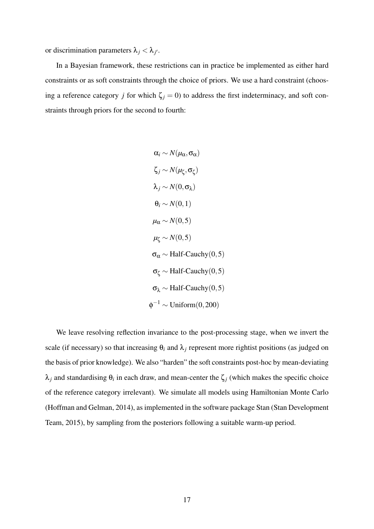or discrimination parameters  $\lambda_j < \lambda_{j'}$ .

In a Bayesian framework, these restrictions can in practice be implemented as either hard constraints or as soft constraints through the choice of priors. We use a hard constraint (choosing a reference category *j* for which  $\zeta_j = 0$ ) to address the first indeterminacy, and soft constraints through priors for the second to fourth:

$$
\alpha_i \sim N(\mu_{\alpha}, \sigma_{\alpha})
$$
  
\n
$$
\zeta_j \sim N(\mu_{\zeta}, \sigma_{\zeta})
$$
  
\n
$$
\lambda_j \sim N(0, \sigma_{\lambda})
$$
  
\n
$$
\theta_i \sim N(0, 1)
$$
  
\n
$$
\mu_{\alpha} \sim N(0, 5)
$$
  
\n
$$
\sigma_{\alpha} \sim \text{Half-Cauchy}(0, 5)
$$
  
\n
$$
\sigma_{\zeta} \sim \text{Half-Cauchy}(0, 5)
$$
  
\n
$$
\sigma_{\lambda} \sim \text{Half-Cauchy}(0, 5)
$$
  
\n
$$
\phi^{-1} \sim \text{Uniform}(0, 200)
$$

We leave resolving reflection invariance to the post-processing stage, when we invert the scale (if necessary) so that increasing  $\theta_i$  and  $\lambda_j$  represent more rightist positions (as judged on the basis of prior knowledge). We also "harden" the soft constraints post-hoc by mean-deviating  $λ_j$  and standardising  $θ_i$  in each draw, and mean-center the  $ζ_j$  (which makes the specific choice of the reference category irrelevant). We simulate all models using Hamiltonian Monte Carlo [\(Hoffman and Gelman,](#page-38-12) [2014\)](#page-38-12), as implemented in the software package Stan [\(Stan Development](#page-40-10) [Team,](#page-40-10) [2015\)](#page-40-10), by sampling from the posteriors following a suitable warm-up period.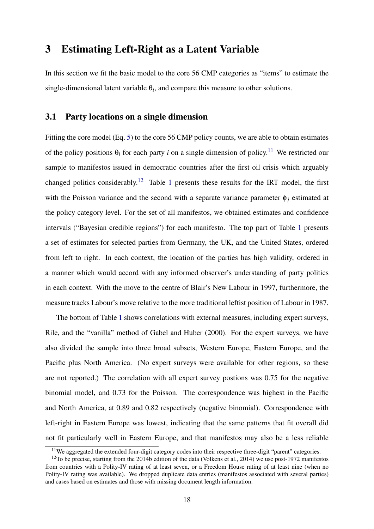### 3 Estimating Left-Right as a Latent Variable

In this section we fit the basic model to the core 56 CMP categories as "items" to estimate the single-dimensional latent variable  $\theta_i$ , and compare this measure to other solutions.

### 3.1 Party locations on a single dimension

Fitting the core model (Eq. [5\)](#page-13-1) to the core 56 CMP policy counts, we are able to obtain estimates of the policy positions  $\theta_i$  for each party *i* on a single dimension of policy.<sup>[11](#page-18-0)</sup> We restricted our sample to manifestos issued in democratic countries after the first oil crisis which arguably changed politics considerably.<sup>[12](#page-18-1)</sup> Table [1](#page-19-0) presents these results for the IRT model, the first with the Poisson variance and the second with a separate variance parameter  $\phi_i$  estimated at the policy category level. For the set of all manifestos, we obtained estimates and confidence intervals ("Bayesian credible regions") for each manifesto. The top part of Table [1](#page-19-0) presents a set of estimates for selected parties from Germany, the UK, and the United States, ordered from left to right. In each context, the location of the parties has high validity, ordered in a manner which would accord with any informed observer's understanding of party politics in each context. With the move to the centre of Blair's New Labour in 1997, furthermore, the measure tracks Labour's move relative to the more traditional leftist position of Labour in 1987.

The bottom of Table [1](#page-19-0) shows correlations with external measures, including expert surveys, Rile, and the "vanilla" method of [Gabel and Huber](#page-38-3) [\(2000\)](#page-38-3). For the expert surveys, we have also divided the sample into three broad subsets, Western Europe, Eastern Europe, and the Pacific plus North America. (No expert surveys were available for other regions, so these are not reported.) The correlation with all expert survey postions was 0.75 for the negative binomial model, and 0.73 for the Poisson. The correspondence was highest in the Pacific and North America, at 0.89 and 0.82 respectively (negative binomial). Correspondence with left-right in Eastern Europe was lowest, indicating that the same patterns that fit overall did not fit particularly well in Eastern Europe, and that manifestos may also be a less reliable

<span id="page-18-1"></span><span id="page-18-0"></span> $11$ We aggregated the extended four-digit category codes into their respective three-digit "parent" categories.

<sup>&</sup>lt;sup>12</sup>To be precise, starting from the 2014b edition of the data [\(Volkens et al.,](#page-40-11) [2014\)](#page-40-11) we use post-1972 manifestos from countries with a Polity-IV rating of at least seven, or a Freedom House rating of at least nine (when no Polity-IV rating was available). We dropped duplicate data entries (manifestos associated with several parties) and cases based on estimates and those with missing document length information.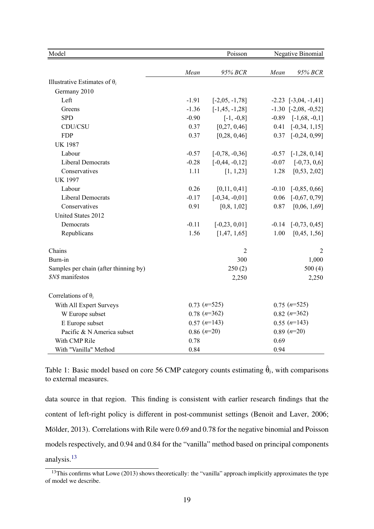| Model                                 |                  | Poisson            | Negative Binomial |                          |  |  |
|---------------------------------------|------------------|--------------------|-------------------|--------------------------|--|--|
|                                       | Mean             | 95% BCR            | Mean              | 95% BCR                  |  |  |
| Illustrative Estimates of $\theta_i$  |                  |                    |                   |                          |  |  |
| Germany 2010                          |                  |                    |                   |                          |  |  |
| Left                                  | $-1.91$          | $[-2,05,-1,78]$    |                   | $-2.23$ $[-3,04, -1,41]$ |  |  |
| Greens                                | $-1.36$          | $[-1, 45, -1, 28]$ |                   | $-1.30$ $[-2.08, -0.52]$ |  |  |
| <b>SPD</b>                            | $-0.90$          | $[-1, -0.8]$       | $-0.89$           | $[-1,68, -0,1]$          |  |  |
| CDU/CSU                               | 0.37             | [0,27, 0,46]       | 0.41              | $[-0,34, 1,15]$          |  |  |
| <b>FDP</b>                            | 0.37             | [0, 28, 0, 46]     | 0.37              | $[-0, 24, 0, 99]$        |  |  |
| <b>UK 1987</b>                        |                  |                    |                   |                          |  |  |
| Labour                                | $-0.57$          | $[-0, 78, -0, 36]$ | $-0.57$           | $[-1, 28, 0, 14]$        |  |  |
| <b>Liberal Democrats</b>              | $-0.28$          | $[-0, 44, -0, 12]$ | $-0.07$           | $[-0, 73, 0, 6]$         |  |  |
| Conservatives                         | 1.11             | [1, 1, 23]         | 1.28              | [0,53, 2,02]             |  |  |
| <b>UK 1997</b>                        |                  |                    |                   |                          |  |  |
| Labour                                | 0.26             | [0,11, 0,41]       | $-0.10$           | $[-0, 85, 0, 66]$        |  |  |
| <b>Liberal Democrats</b>              | $-0.17$          | $[-0,34, -0,01]$   | 0.06              | $[-0.67, 0.79]$          |  |  |
| Conservatives                         | 0.91             | [0,8, 1,02]        | 0.87              | [0,06, 1,69]             |  |  |
| United States 2012                    |                  |                    |                   |                          |  |  |
| Democrats                             | $-0.11$          | $[-0, 23, 0, 01]$  | $-0.14$           | $[-0, 73, 0, 45]$        |  |  |
| Republicans                           | 1.56             | [1,47, 1,65]       | 1.00              | [0,45, 1,56]             |  |  |
| Chains                                |                  | $\overline{2}$     |                   | $\overline{2}$           |  |  |
| Burn-in                               |                  | 300                |                   | 1,000                    |  |  |
| Samples per chain (after thinning by) |                  | 250(2)             |                   | 500(4)                   |  |  |
| \$N\$ manifestos                      |                  | 2,250              |                   | 2,250                    |  |  |
| Correlations of $\theta_i$            |                  |                    |                   |                          |  |  |
| With All Expert Surveys               | $0.73$ $(n=525)$ |                    |                   | $0.75$ $(n=525)$         |  |  |
| W Europe subset                       | $0.78$ $(n=362)$ |                    |                   | $0.82(n=362)$            |  |  |
| E Europe subset                       | $0.57$ $(n=143)$ |                    |                   | $0.55(n=143)$            |  |  |
| Pacific & N America subset            | $0.86$ $(n=20)$  |                    |                   | $0.89$ $(n=20)$          |  |  |
| With CMP Rile                         | 0.78             |                    | 0.69              |                          |  |  |
| With "Vanilla" Method                 | 0.84             |                    | 0.94              |                          |  |  |

<span id="page-19-0"></span>Table 1: Basic model based on core 56 CMP category counts estimating  $\hat{\theta}_i$ , with comparisons to external measures.

data source in that region. This finding is consistent with earlier research findings that the content of left-right policy is different in post-communist settings [\(Benoit and Laver,](#page-37-0) [2006;](#page-37-0) Mölder, [2013\)](#page-39-3). Correlations with Rile were 0.69 and 0.78 for the negative binomial and Poisson models respectively, and 0.94 and 0.84 for the "vanilla" method based on principal components analysis.[13](#page-19-1)

<span id="page-19-1"></span><sup>&</sup>lt;sup>13</sup>This confirms what [Lowe](#page-39-13) [\(2013\)](#page-39-13) shows theoretically: the "vanilla" approach implicitly approximates the type of model we describe.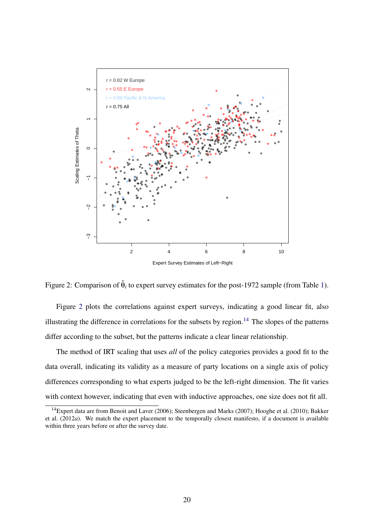

<span id="page-20-0"></span>Figure 2: Comparison of  $\hat{\theta}_i$  to expert survey estimates for the post-1972 sample (from Table [1\)](#page-19-0).

Figure [2](#page-20-0) plots the correlations against expert surveys, indicating a good linear fit, also illustrating the difference in correlations for the subsets by region.<sup>[14](#page-20-1)</sup> The slopes of the patterns differ according to the subset, but the patterns indicate a clear linear relationship.

The method of IRT scaling that uses *all* of the policy categories provides a good fit to the data overall, indicating its validity as a measure of party locations on a single axis of policy differences corresponding to what experts judged to be the left-right dimension. The fit varies with context however, indicating that even with inductive approaches, one size does not fit all.

<span id="page-20-1"></span><sup>&</sup>lt;sup>14</sup>Expert data are from [Benoit and Laver](#page-37-0) [\(2006\)](#page-37-0); [Steenbergen and Marks](#page-40-12) [\(2007\)](#page-40-12); [Hooghe et al.](#page-38-13) [\(2010\)](#page-38-13); [Bakker](#page-37-12) [et al.](#page-37-12) [\(2012](#page-37-12)*a*). We match the expert placement to the temporally closest manifesto, if a document is available within three years before or after the survey date.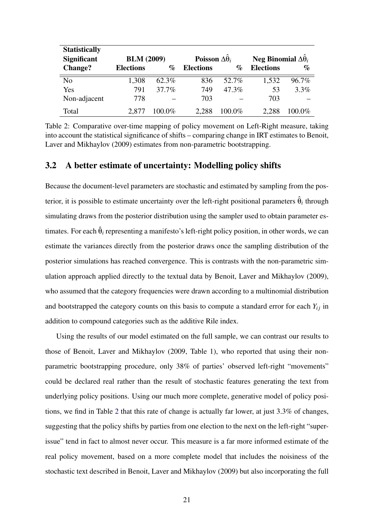| <b>Statistically</b> |                   |        |                                 |        |                                      |          |  |
|----------------------|-------------------|--------|---------------------------------|--------|--------------------------------------|----------|--|
| <b>Significant</b>   | <b>BLM</b> (2009) |        | Poisson $\Delta \hat{\theta}_i$ |        | Neg Binomial $\Delta \hat{\theta}_i$ |          |  |
| <b>Change?</b>       | <b>Elections</b>  | $\%$   | <b>Elections</b>                | $\%$   | <b>Elections</b>                     | $\%$     |  |
| N <sub>o</sub>       | 1,308             | 62.3%  | 836                             | 52.7%  | 1,532                                | $96.7\%$ |  |
| Yes                  | 791               | 37.7%  | 749                             | 47.3%  | 53                                   | $3.3\%$  |  |
| Non-adjacent         | 778               |        | 703                             |        | 703                                  |          |  |
| Total                | 2.877             | 100.0% | 2.288                           | 100.0% | 2.288                                | $00.0\%$ |  |

<span id="page-21-0"></span>Table 2: Comparative over-time mapping of policy movement on Left-Right measure, taking into account the statistical significance of shifts – comparing change in IRT estimates to [Benoit,](#page-37-9) [Laver and Mikhaylov](#page-37-9) [\(2009\)](#page-37-9) estimates from non-parametric bootstrapping.

### 3.2 A better estimate of uncertainty: Modelling policy shifts

Because the document-level parameters are stochastic and estimated by sampling from the posterior, it is possible to estimate uncertainty over the left-right positional parameters  $\hat{\theta}_i$  through simulating draws from the posterior distribution using the sampler used to obtain parameter estimates. For each  $\hat{\theta}_i$  representing a manifesto's left-right policy position, in other words, we can estimate the variances directly from the posterior draws once the sampling distribution of the posterior simulations has reached convergence. This is contrasts with the non-parametric simulation approach applied directly to the textual data by [Benoit, Laver and Mikhaylov](#page-37-9) [\(2009\)](#page-37-9), who assumed that the category frequencies were drawn according to a multinomial distribution and bootstrapped the category counts on this basis to compute a standard error for each  $Y_{ij}$  in addition to compound categories such as the additive Rile index.

Using the results of our model estimated on the full sample, we can contrast our results to those of [Benoit, Laver and Mikhaylov](#page-37-9) [\(2009,](#page-37-9) Table 1), who reported that using their nonparametric bootstrapping procedure, only 38% of parties' observed left-right "movements" could be declared real rather than the result of stochastic features generating the text from underlying policy positions. Using our much more complete, generative model of policy positions, we find in Table [2](#page-21-0) that this rate of change is actually far lower, at just 3.3% of changes, suggesting that the policy shifts by parties from one election to the next on the left-right "superissue" tend in fact to almost never occur. This measure is a far more informed estimate of the real policy movement, based on a more complete model that includes the noisiness of the stochastic text described in [Benoit, Laver and Mikhaylov](#page-37-9) [\(2009\)](#page-37-9) but also incorporating the full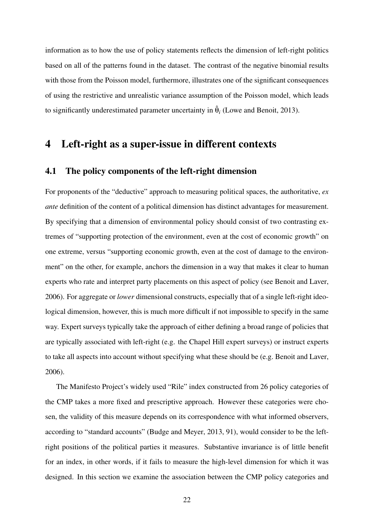information as to how the use of policy statements reflects the dimension of left-right politics based on all of the patterns found in the dataset. The contrast of the negative binomial results with those from the Poisson model, furthermore, illustrates one of the significant consequences of using the restrictive and unrealistic variance assumption of the Poisson model, which leads to significantly underestimated parameter uncertainty in  $\hat{\theta}_i$  [\(Lowe and Benoit,](#page-39-14) [2013\)](#page-39-14).

# 4 Left-right as a super-issue in different contexts

### 4.1 The policy components of the left-right dimension

For proponents of the "deductive" approach to measuring political spaces, the authoritative, *ex ante* definition of the content of a political dimension has distinct advantages for measurement. By specifying that a dimension of environmental policy should consist of two contrasting extremes of "supporting protection of the environment, even at the cost of economic growth" on one extreme, versus "supporting economic growth, even at the cost of damage to the environment" on the other, for example, anchors the dimension in a way that makes it clear to human experts who rate and interpret party placements on this aspect of policy (see [Benoit and Laver,](#page-37-0) [2006\)](#page-37-0). For aggregate or *lower* dimensional constructs, especially that of a single left-right ideological dimension, however, this is much more difficult if not impossible to specify in the same way. Expert surveys typically take the approach of either defining a broad range of policies that are typically associated with left-right (e.g. the Chapel Hill expert surveys) or instruct experts to take all aspects into account without specifying what these should be (e.g. [Benoit and Laver,](#page-37-0) [2006\)](#page-37-0).

The Manifesto Project's widely used "Rile" index constructed from 26 policy categories of the CMP takes a more fixed and prescriptive approach. However these categories were chosen, the validity of this measure depends on its correspondence with what informed observers, according to "standard accounts" [\(Budge and Meyer,](#page-37-3) [2013,](#page-37-3) 91), would consider to be the leftright positions of the political parties it measures. Substantive invariance is of little benefit for an index, in other words, if it fails to measure the high-level dimension for which it was designed. In this section we examine the association between the CMP policy categories and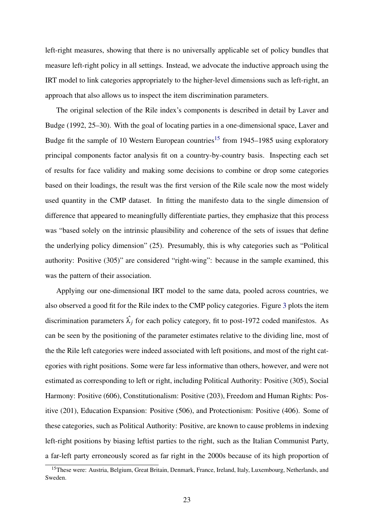left-right measures, showing that there is no universally applicable set of policy bundles that measure left-right policy in all settings. Instead, we advocate the inductive approach using the IRT model to link categories appropriately to the higher-level dimensions such as left-right, an approach that also allows us to inspect the item discrimination parameters.

The original selection of the Rile index's components is described in detail by [Laver and](#page-39-2) [Budge](#page-39-2) [\(1992,](#page-39-2) 25–30). With the goal of locating parties in a one-dimensional space, [Laver and](#page-39-2) [Budge](#page-39-2) fit the sample of 10 Western European countries<sup>[15](#page-23-0)</sup> from 1945–1985 using exploratory principal components factor analysis fit on a country-by-country basis. Inspecting each set of results for face validity and making some decisions to combine or drop some categories based on their loadings, the result was the first version of the Rile scale now the most widely used quantity in the CMP dataset. In fitting the manifesto data to the single dimension of difference that appeared to meaningfully differentiate parties, they emphasize that this process was "based solely on the intrinsic plausibility and coherence of the sets of issues that define the underlying policy dimension" (25). Presumably, this is why categories such as "Political authority: Positive (305)" are considered "right-wing": because in the sample examined, this was the pattern of their association.

Applying our one-dimensional IRT model to the same data, pooled across countries, we also observed a good fit for the Rile index to the CMP policy categories. Figure [3](#page-24-0) plots the item discrimination parameters  $\hat{\lambda_i}$  for each policy category, fit to post-1972 coded manifestos. As can be seen by the positioning of the parameter estimates relative to the dividing line, most of the the Rile left categories were indeed associated with left positions, and most of the right categories with right positions. Some were far less informative than others, however, and were not estimated as corresponding to left or right, including Political Authority: Positive (305), Social Harmony: Positive (606), Constitutionalism: Positive (203), Freedom and Human Rights: Positive (201), Education Expansion: Positive (506), and Protectionism: Positive (406). Some of these categories, such as Political Authority: Positive, are known to cause problems in indexing left-right positions by biasing leftist parties to the right, such as the Italian Communist Party, a far-left party erroneously scored as far right in the 2000s because of its high proportion of

<span id="page-23-0"></span><sup>&</sup>lt;sup>15</sup>These were: Austria, Belgium, Great Britain, Denmark, France, Ireland, Italy, Luxembourg, Netherlands, and Sweden.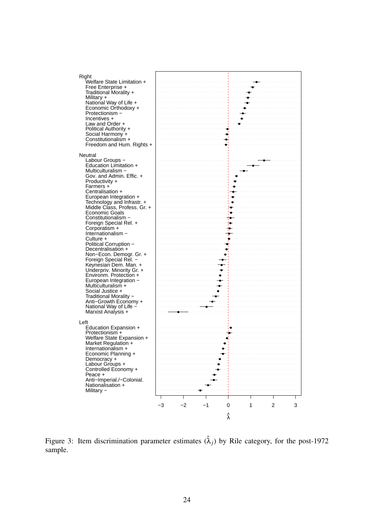| Right                                                                     |    |    |      |                 |   |   |   |
|---------------------------------------------------------------------------|----|----|------|-----------------|---|---|---|
| Welfare State Limitation +<br>Free Enterprise +<br>Traditional Morality + |    |    |      |                 |   |   |   |
| Military +                                                                |    |    |      |                 |   |   |   |
| National Way of Life +                                                    |    |    |      |                 |   |   |   |
| Economic Orthodoxy +<br>Protectionism -                                   |    |    |      |                 |   |   |   |
| Incentives +                                                              |    |    |      |                 |   |   |   |
| Law and Order +<br>Political Authority +                                  |    |    |      |                 |   |   |   |
| Social Harmony +                                                          |    |    |      |                 |   |   |   |
| Constitutionalism +<br>Freedom and Hum. Rights +                          |    |    |      |                 |   |   |   |
|                                                                           |    |    |      |                 |   |   |   |
| Neutral<br>Labour Groups -                                                |    |    |      |                 |   |   |   |
| Education Limitation +                                                    |    |    |      |                 |   |   |   |
| Multiculturalism -<br>Gov. and Admin. Effic. +                            |    |    |      |                 |   |   |   |
| Productivity +                                                            |    |    |      |                 |   |   |   |
| Farmers +<br>Centralisation +                                             |    |    |      |                 |   |   |   |
| European Integration +                                                    |    |    |      |                 |   |   |   |
| Technology and Infrastr. +<br>Middle Class, Profess. Gr. +                |    |    |      |                 |   |   |   |
| Economic Goals                                                            |    |    |      |                 |   |   |   |
| Constitutionalism -<br>Foreign Special Rel. +                             |    |    |      |                 |   |   |   |
| Corporatism +                                                             |    |    |      |                 |   |   |   |
| Internationalism -<br>Culture +                                           |    |    |      | æ.              |   |   |   |
| Political Corruption -                                                    |    |    |      |                 |   |   |   |
| Decentralisation +<br>Non-Econ. Demogr. Gr. +                             |    |    |      |                 |   |   |   |
| Foreign Special Rel. -                                                    |    |    |      |                 |   |   |   |
| Keynesian Dem. Man. +<br>Underpriv. Minority Gr. +                        |    |    |      |                 |   |   |   |
| Environm. Protection +                                                    |    |    |      |                 |   |   |   |
| European Integration -<br>Multiculturalism +                              |    |    |      |                 |   |   |   |
| Social Justice +                                                          |    |    |      |                 |   |   |   |
| Traditional Morality -<br>Anti-Growth Economy +                           |    |    |      |                 |   |   |   |
| National Way of Life -                                                    |    |    |      |                 |   |   |   |
| Marxist Analysis +                                                        |    |    |      |                 |   |   |   |
| Left                                                                      |    |    |      |                 |   |   |   |
| Education Expansion +<br>Protectionism +                                  |    |    |      |                 |   |   |   |
| Welfare State Expansion +                                                 |    |    |      |                 |   |   |   |
| Market Regulation +<br>Internationalism +                                 |    |    |      |                 |   |   |   |
| Economic Planning +                                                       |    |    |      |                 |   |   |   |
| Democracy +                                                               |    |    |      |                 |   |   |   |
| Labour Groups +<br>Controlled Economy +                                   |    |    |      |                 |   |   |   |
| Peace +                                                                   |    |    |      |                 |   |   |   |
| Anti-Imperial./-Colonial.<br>Nationalisation +                            |    |    |      |                 |   |   |   |
| Military -                                                                |    |    |      |                 |   |   |   |
|                                                                           |    |    |      |                 |   |   |   |
|                                                                           | -3 | -2 | $-1$ | 0               | 1 | 2 | 3 |
|                                                                           |    |    |      | $\hat{\lambda}$ |   |   |   |

<span id="page-24-0"></span>Figure 3: Item discrimination parameter estimates  $(\hat{\lambda}_j)$  by Rile category, for the post-1972 sample.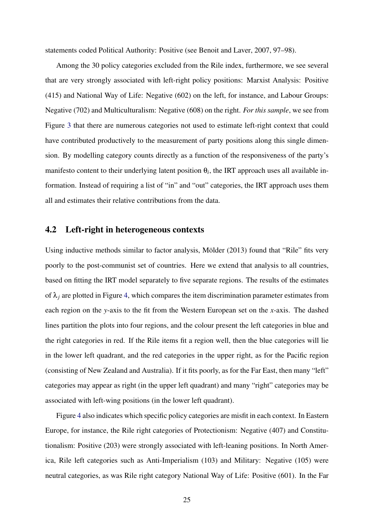statements coded Political Authority: Positive (see [Benoit and Laver,](#page-37-2) [2007,](#page-37-2) 97–98).

Among the 30 policy categories excluded from the Rile index, furthermore, we see several that are very strongly associated with left-right policy positions: Marxist Analysis: Positive (415) and National Way of Life: Negative (602) on the left, for instance, and Labour Groups: Negative (702) and Multiculturalism: Negative (608) on the right. *For this sample*, we see from Figure [3](#page-24-0) that there are numerous categories not used to estimate left-right context that could have contributed productively to the measurement of party positions along this single dimension. By modelling category counts directly as a function of the responsiveness of the party's manifesto content to their underlying latent position  $\theta_i$ , the IRT approach uses all available information. Instead of requiring a list of "in" and "out" categories, the IRT approach uses them all and estimates their relative contributions from the data.

### 4.2 Left-right in heterogeneous contexts

Using inductive methods similar to factor analysis, Mölder [\(2013\)](#page-39-3) found that "Rile" fits very poorly to the post-communist set of countries. Here we extend that analysis to all countries, based on fitting the IRT model separately to five separate regions. The results of the estimates of  $\lambda_i$  are plotted in Figure [4,](#page-26-0) which compares the item discrimination parameter estimates from each region on the *y*-axis to the fit from the Western European set on the *x*-axis. The dashed lines partition the plots into four regions, and the colour present the left categories in blue and the right categories in red. If the Rile items fit a region well, then the blue categories will lie in the lower left quadrant, and the red categories in the upper right, as for the Pacific region (consisting of New Zealand and Australia). If it fits poorly, as for the Far East, then many "left" categories may appear as right (in the upper left quadrant) and many "right" categories may be associated with left-wing positions (in the lower left quadrant).

Figure [4](#page-26-0) also indicates which specific policy categories are misfit in each context. In Eastern Europe, for instance, the Rile right categories of Protectionism: Negative (407) and Constitutionalism: Positive (203) were strongly associated with left-leaning positions. In North America, Rile left categories such as Anti-Imperialism (103) and Military: Negative (105) were neutral categories, as was Rile right category National Way of Life: Positive (601). In the Far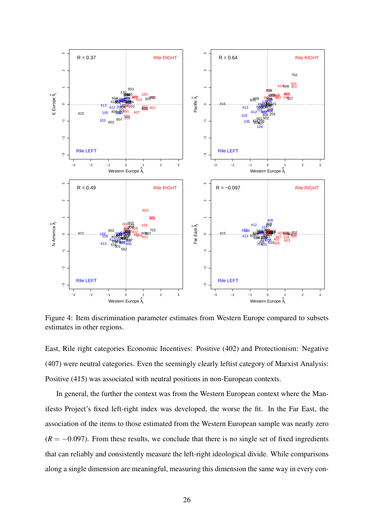

<span id="page-26-0"></span>Figure 4: Item discrimination parameter estimates from Western Europe compared to subsets estimates in other regions.

East, Rile right categories Economic Incentives: Positive (402) and Protectionism: Negative (407) were neutral categories. Even the seemingly clearly leftist category of Marxist Analysis: Positive (415) was associated with neutral positions in non-European contexts.

In general, the further the context was from the Western European context where the Manifesto Project's fixed left-right index was developed, the worse the fit. In the Far East, the association of the items to those estimated from the Western European sample was nearly zero  $(R = -0.097)$ . From these results, we conclude that there is no single set of fixed ingredients that can reliably and consistently measure the left-right ideological divide. While comparisons along a single dimension are meaningful, measuring this dimension the same way in every con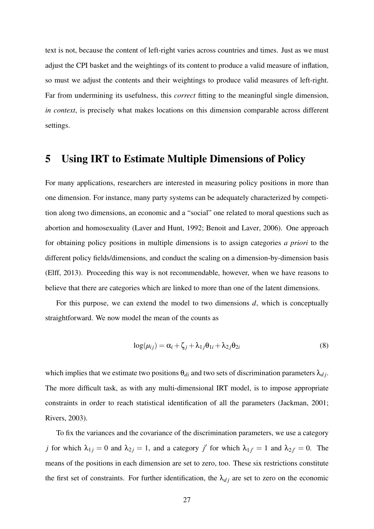text is not, because the content of left-right varies across countries and times. Just as we must adjust the CPI basket and the weightings of its content to produce a valid measure of inflation, so must we adjust the contents and their weightings to produce valid measures of left-right. Far from undermining its usefulness, this *correct* fitting to the meaningful single dimension, *in context*, is precisely what makes locations on this dimension comparable across different settings.

### 5 Using IRT to Estimate Multiple Dimensions of Policy

For many applications, researchers are interested in measuring policy positions in more than one dimension. For instance, many party systems can be adequately characterized by competition along two dimensions, an economic and a "social" one related to moral questions such as abortion and homosexuality [\(Laver and Hunt,](#page-39-15) [1992;](#page-39-15) [Benoit and Laver,](#page-37-0) [2006\)](#page-37-0). One approach for obtaining policy positions in multiple dimensions is to assign categories *a priori* to the different policy fields/dimensions, and conduct the scaling on a dimension-by-dimension basis [\(Elff,](#page-38-10) [2013\)](#page-38-10). Proceeding this way is not recommendable, however, when we have reasons to believe that there are categories which are linked to more than one of the latent dimensions.

For this purpose, we can extend the model to two dimensions *d*, which is conceptually straightforward. We now model the mean of the counts as

$$
\log(\mu_{ij}) = \alpha_i + \zeta_j + \lambda_{1j}\theta_{1i} + \lambda_{2j}\theta_{2i}
$$
\n(8)

which implies that we estimate two positions  $\theta_{di}$  and two sets of discrimination parameters  $\lambda_{dj}$ . The more difficult task, as with any multi-dimensional IRT model, is to impose appropriate constraints in order to reach statistical identification of all the parameters [\(Jackman,](#page-39-8) [2001;](#page-39-8) [Rivers,](#page-40-13) [2003\)](#page-40-13).

To fix the variances and the covariance of the discrimination parameters, we use a category *j* for which  $\lambda_{1j} = 0$  and  $\lambda_{2j} = 1$ , and a category *j'* for which  $\lambda_{1j'} = 1$  and  $\lambda_{2j'} = 0$ . The means of the positions in each dimension are set to zero, too. These six restrictions constitute the first set of constraints. For further identification, the  $\lambda_{d,i}$  are set to zero on the economic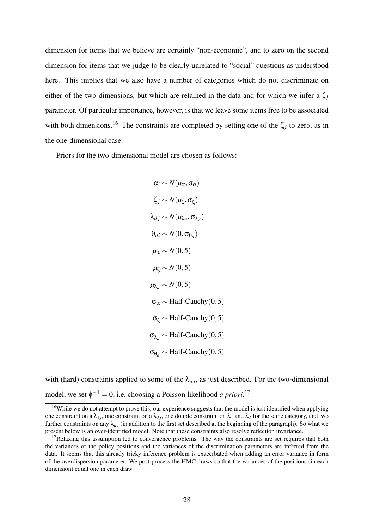dimension for items that we believe are certainly "non-economic", and to zero on the second dimension for items that we judge to be clearly unrelated to "social" questions as understood here. This implies that we also have a number of categories which do not discriminate on either of the two dimensions, but which are retained in the data and for which we infer a  $\zeta_i$ parameter. Of particular importance, however, is that we leave some items free to be associated with both dimensions.<sup>[16](#page-28-0)</sup> The constraints are completed by setting one of the  $\zeta_j$  to zero, as in the one-dimensional case.

Priors for the two-dimensional model are chosen as follows:

$$
\alpha_i \sim N(\mu_{\alpha}, \sigma_{\alpha})
$$
\n
$$
\zeta_j \sim N(\mu_{\zeta}, \sigma_{\zeta})
$$
\n
$$
\lambda_{dj} \sim N(\mu_{\lambda_d}, \sigma_{\lambda_d})
$$
\n
$$
\theta_{di} \sim N(0, \sigma_{\theta_d})
$$
\n
$$
\mu_{\alpha} \sim N(0, 5)
$$
\n
$$
\mu_{\zeta} \sim N(0, 5)
$$
\n
$$
\sigma_{\alpha} \sim \text{Half-Cauchy}(0, 5)
$$
\n
$$
\sigma_{\zeta} \sim \text{Half-Cauchy}(0, 5)
$$
\n
$$
\sigma_{\lambda_d} \sim \text{Half-Cauchy}(0, 5)
$$
\n
$$
\sigma_{\theta_d} \sim \text{Half-Cauchy}(0, 5)
$$

with (hard) constraints applied to some of the  $\lambda_{d,i}$ , as just described. For the two-dimensional model, we set  $\phi^{-1} = 0$ , i.e. choosing a Poisson likelihood *a priori*.<sup>[17](#page-28-1)</sup>

<span id="page-28-0"></span><sup>&</sup>lt;sup>16</sup>While we do not attempt to prove this, our experience suggests that the model is just identified when applying one constraint on a  $\lambda_{1j}$ , one constraint on a  $\lambda_{2j}$ , one double constraint on  $\lambda_1$  and  $\lambda_2$  for the same category, and two further constraints on any  $\lambda_{d,i}$  (in addition to the first set described at the beginning of the paragraph). So what we present below is an over-identified model. Note that these constraints also resolve reflection invariance.

<span id="page-28-1"></span> $17$ Relaxing this assumption led to convergence problems. The way the constraints are set requires that both the variances of the policy positions and the variances of the discrimination parameters are inferred from the data. It seems that this already tricky inference problem is exacerbated when adding an error variance in form of the overdispersion parameter. We post-process the HMC draws so that the variances of the positions (in each dimension) equal one in each draw.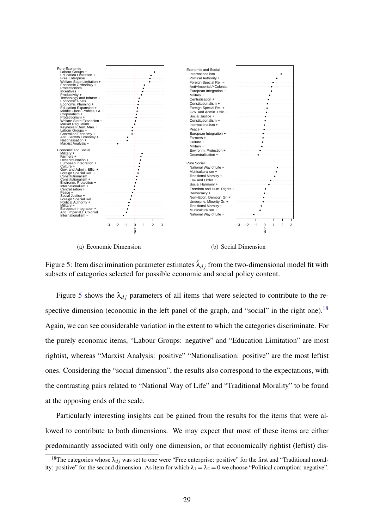

<span id="page-29-0"></span>(a) Economic Dimension

(b) Social Dimension

Figure 5: Item discrimination parameter estimates  $\lambda_{d,i}$  from the two-dimensional model fit with subsets of categories selected for possible economic and social policy content.

Figure [5](#page-29-0) shows the  $\lambda_{d,i}$  parameters of all items that were selected to contribute to the re-spective dimension (economic in the left panel of the graph, and "social" in the right one).<sup>[18](#page-29-1)</sup> Again, we can see considerable variation in the extent to which the categories discriminate. For the purely economic items, "Labour Groups: negative" and "Education Limitation" are most rightist, whereas "Marxist Analysis: positive" "Nationalisation: positive" are the most leftist ones. Considering the "social dimension", the results also correspond to the expectations, with the contrasting pairs related to "National Way of Life" and "Traditional Morality" to be found at the opposing ends of the scale.

Particularly interesting insights can be gained from the results for the items that were allowed to contribute to both dimensions. We may expect that most of these items are either predominantly associated with only one dimension, or that economically rightist (leftist) dis-

<span id="page-29-1"></span><sup>&</sup>lt;sup>18</sup>The categories whose  $\lambda_{di}$  was set to one were "Free enterprise: positive" for the first and "Traditional morality: positive" for the second dimension. As item for which  $\lambda_1 = \lambda_2 = 0$  we choose "Political corruption: negative".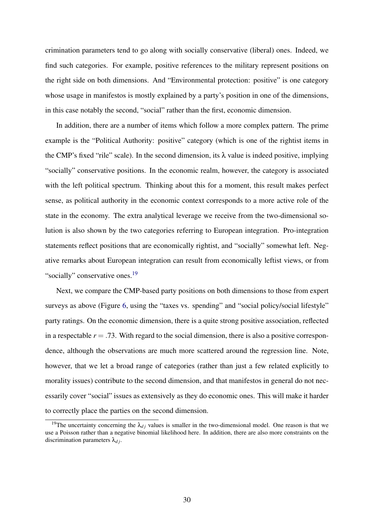crimination parameters tend to go along with socially conservative (liberal) ones. Indeed, we find such categories. For example, positive references to the military represent positions on the right side on both dimensions. And "Environmental protection: positive" is one category whose usage in manifestos is mostly explained by a party's position in one of the dimensions, in this case notably the second, "social" rather than the first, economic dimension.

In addition, there are a number of items which follow a more complex pattern. The prime example is the "Political Authority: positive" category (which is one of the rightist items in the CMP's fixed "rile" scale). In the second dimension, its  $\lambda$  value is indeed positive, implying "socially" conservative positions. In the economic realm, however, the category is associated with the left political spectrum. Thinking about this for a moment, this result makes perfect sense, as political authority in the economic context corresponds to a more active role of the state in the economy. The extra analytical leverage we receive from the two-dimensional solution is also shown by the two categories referring to European integration. Pro-integration statements reflect positions that are economically rightist, and "socially" somewhat left. Negative remarks about European integration can result from economically leftist views, or from "socially" conservative ones.<sup>[19](#page-30-0)</sup>

Next, we compare the CMP-based party positions on both dimensions to those from expert surveys as above (Figure [6,](#page-31-0) using the "taxes vs. spending" and "social policy/social lifestyle" party ratings. On the economic dimension, there is a quite strong positive association, reflected in a respectable  $r = .73$ . With regard to the social dimension, there is also a positive correspondence, although the observations are much more scattered around the regression line. Note, however, that we let a broad range of categories (rather than just a few related explicitly to morality issues) contribute to the second dimension, and that manifestos in general do not necessarily cover "social" issues as extensively as they do economic ones. This will make it harder to correctly place the parties on the second dimension.

<span id="page-30-0"></span><sup>&</sup>lt;sup>19</sup>The uncertainty concerning the  $\lambda_{di}$  values is smaller in the two-dimensional model. One reason is that we use a Poisson rather than a negative binomial likelihood here. In addition, there are also more constraints on the discrimination parameters  $\lambda_{di}$ .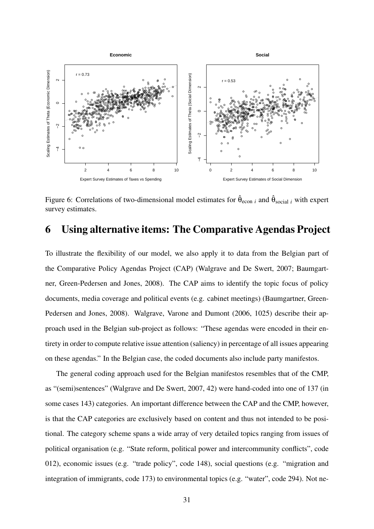

<span id="page-31-0"></span>Figure 6: Correlations of two-dimensional model estimates for  $\hat{\theta}_{\text{econ }i}$  and  $\hat{\theta}_{\text{social }i}$  with expert survey estimates.

# 6 Using alternative items: The Comparative Agendas Project

To illustrate the flexibility of our model, we also apply it to data from the Belgian part of the Comparative Policy Agendas Project (CAP) [\(Walgrave and De Swert,](#page-40-14) [2007;](#page-40-14) [Baumgart](#page-37-13)[ner, Green-Pedersen and Jones,](#page-37-13) [2008\)](#page-37-13). The CAP aims to identify the topic focus of policy documents, media coverage and political events (e.g. cabinet meetings) [\(Baumgartner, Green-](#page-37-13)[Pedersen and Jones,](#page-37-13) [2008\)](#page-37-13). [Walgrave, Varone and Dumont](#page-40-15) [\(2006,](#page-40-15) 1025) describe their approach used in the Belgian sub-project as follows: "These agendas were encoded in their entirety in order to compute relative issue attention (saliency) in percentage of all issues appearing on these agendas." In the Belgian case, the coded documents also include party manifestos.

The general coding approach used for the Belgian manifestos resembles that of the CMP, as "(semi)sentences" [\(Walgrave and De Swert,](#page-40-14) [2007,](#page-40-14) 42) were hand-coded into one of 137 (in some cases 143) categories. An important difference between the CAP and the CMP, however, is that the CAP categories are exclusively based on content and thus not intended to be positional. The category scheme spans a wide array of very detailed topics ranging from issues of political organisation (e.g. "State reform, political power and intercommunity conflicts", code 012), economic issues (e.g. "trade policy", code 148), social questions (e.g. "migration and integration of immigrants, code 173) to environmental topics (e.g. "water", code 294). Not ne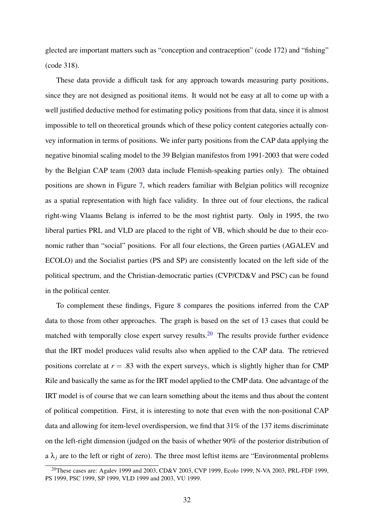glected are important matters such as "conception and contraception" (code 172) and "fishing" (code 318).

These data provide a difficult task for any approach towards measuring party positions, since they are not designed as positional items. It would not be easy at all to come up with a well justified deductive method for estimating policy positions from that data, since it is almost impossible to tell on theoretical grounds which of these policy content categories actually convey information in terms of positions. We infer party positions from the CAP data applying the negative binomial scaling model to the 39 Belgian manifestos from 1991-2003 that were coded by the Belgian CAP team (2003 data include Flemish-speaking parties only). The obtained positions are shown in Figure [7,](#page-33-0) which readers familiar with Belgian politics will recognize as a spatial representation with high face validity. In three out of four elections, the radical right-wing Vlaams Belang is inferred to be the most rightist party. Only in 1995, the two liberal parties PRL and VLD are placed to the right of VB, which should be due to their economic rather than "social" positions. For all four elections, the Green parties (AGALEV and ECOLO) and the Socialist parties (PS and SP) are consistently located on the left side of the political spectrum, and the Christian-democratic parties (CVP/CD&V and PSC) can be found in the political center.

To complement these findings, Figure [8](#page-34-0) compares the positions inferred from the CAP data to those from other approaches. The graph is based on the set of 13 cases that could be matched with temporally close expert survey results.<sup>[20](#page-32-0)</sup> The results provide further evidence that the IRT model produces valid results also when applied to the CAP data. The retrieved positions correlate at  $r = .83$  with the expert surveys, which is slightly higher than for CMP Rile and basically the same as for the IRT model applied to the CMP data. One advantage of the IRT model is of course that we can learn something about the items and thus about the content of political competition. First, it is interesting to note that even with the non-positional CAP data and allowing for item-level overdispersion, we find that 31% of the 137 items discriminate on the left-right dimension (judged on the basis of whether 90% of the posterior distribution of a  $\lambda_j$  are to the left or right of zero). The three most leftist items are "Environmental problems"

<span id="page-32-0"></span><sup>&</sup>lt;sup>20</sup>These cases are: Agalev 1999 and 2003, CD&V 2003, CVP 1999, Ecolo 1999, N-VA 2003, PRL-FDF 1999, PS 1999, PSC 1999, SP 1999, VLD 1999 and 2003, VU 1999.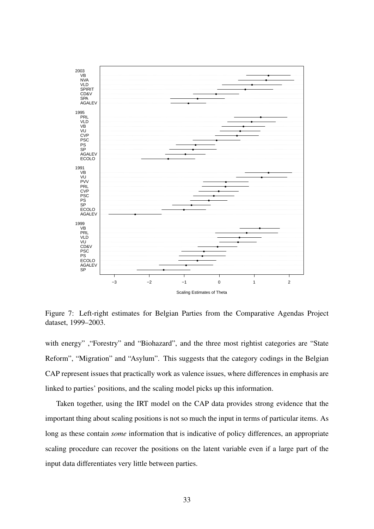

<span id="page-33-0"></span>Figure 7: Left-right estimates for Belgian Parties from the Comparative Agendas Project dataset, 1999–2003.

with energy" , "Forestry" and "Biohazard", and the three most rightist categories are "State" Reform", "Migration" and "Asylum". This suggests that the category codings in the Belgian CAP represent issues that practically work as valence issues, where differences in emphasis are linked to parties' positions, and the scaling model picks up this information.

Taken together, using the IRT model on the CAP data provides strong evidence that the important thing about scaling positions is not so much the input in terms of particular items. As long as these contain *some* information that is indicative of policy differences, an appropriate scaling procedure can recover the positions on the latent variable even if a large part of the input data differentiates very little between parties.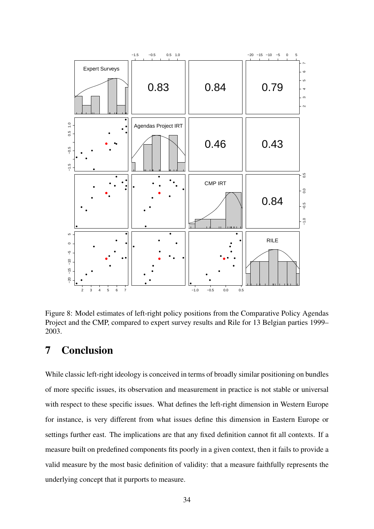

<span id="page-34-0"></span>Figure 8: Model estimates of left-right policy positions from the Comparative Policy Agendas Project and the CMP, compared to expert survey results and Rile for 13 Belgian parties 1999– 2003.

# 7 Conclusion

While classic left-right ideology is conceived in terms of broadly similar positioning on bundles of more specific issues, its observation and measurement in practice is not stable or universal with respect to these specific issues. What defines the left-right dimension in Western Europe for instance, is very different from what issues define this dimension in Eastern Europe or settings further east. The implications are that any fixed definition cannot fit all contexts. If a measure built on predefined components fits poorly in a given context, then it fails to provide a valid measure by the most basic definition of validity: that a measure faithfully represents the underlying concept that it purports to measure.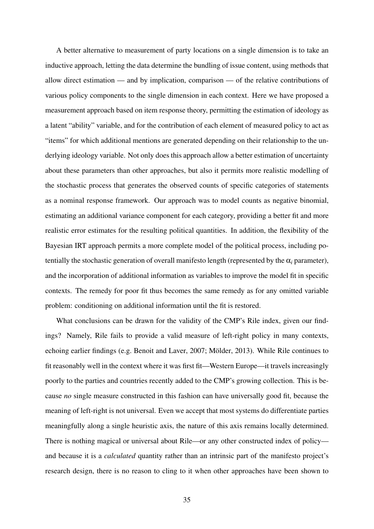A better alternative to measurement of party locations on a single dimension is to take an inductive approach, letting the data determine the bundling of issue content, using methods that allow direct estimation — and by implication, comparison — of the relative contributions of various policy components to the single dimension in each context. Here we have proposed a measurement approach based on item response theory, permitting the estimation of ideology as a latent "ability" variable, and for the contribution of each element of measured policy to act as "items" for which additional mentions are generated depending on their relationship to the underlying ideology variable. Not only does this approach allow a better estimation of uncertainty about these parameters than other approaches, but also it permits more realistic modelling of the stochastic process that generates the observed counts of specific categories of statements as a nominal response framework. Our approach was to model counts as negative binomial, estimating an additional variance component for each category, providing a better fit and more realistic error estimates for the resulting political quantities. In addition, the flexibility of the Bayesian IRT approach permits a more complete model of the political process, including potentially the stochastic generation of overall manifesto length (represented by the  $\alpha_i$  parameter), and the incorporation of additional information as variables to improve the model fit in specific contexts. The remedy for poor fit thus becomes the same remedy as for any omitted variable problem: conditioning on additional information until the fit is restored.

What conclusions can be drawn for the validity of the CMP's Rile index, given our findings? Namely, Rile fails to provide a valid measure of left-right policy in many contexts, echoing earlier findings (e.g. [Benoit and Laver,](#page-37-2) [2007;](#page-37-2) Mölder, [2013\)](#page-39-3). While Rile continues to fit reasonably well in the context where it was first fit—Western Europe—it travels increasingly poorly to the parties and countries recently added to the CMP's growing collection. This is because *no* single measure constructed in this fashion can have universally good fit, because the meaning of left-right is not universal. Even we accept that most systems do differentiate parties meaningfully along a single heuristic axis, the nature of this axis remains locally determined. There is nothing magical or universal about Rile—or any other constructed index of policy and because it is a *calculated* quantity rather than an intrinsic part of the manifesto project's research design, there is no reason to cling to it when other approaches have been shown to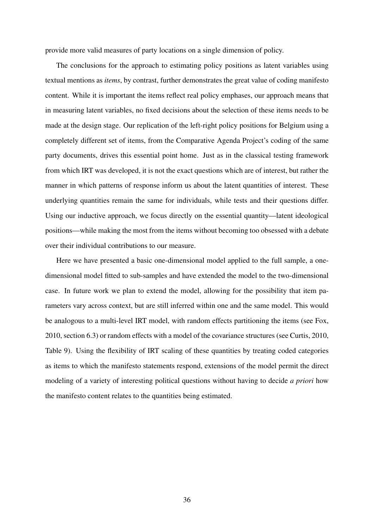provide more valid measures of party locations on a single dimension of policy.

The conclusions for the approach to estimating policy positions as latent variables using textual mentions as *items*, by contrast, further demonstrates the great value of coding manifesto content. While it is important the items reflect real policy emphases, our approach means that in measuring latent variables, no fixed decisions about the selection of these items needs to be made at the design stage. Our replication of the left-right policy positions for Belgium using a completely different set of items, from the Comparative Agenda Project's coding of the same party documents, drives this essential point home. Just as in the classical testing framework from which IRT was developed, it is not the exact questions which are of interest, but rather the manner in which patterns of response inform us about the latent quantities of interest. These underlying quantities remain the same for individuals, while tests and their questions differ. Using our inductive approach, we focus directly on the essential quantity—latent ideological positions—while making the most from the items without becoming too obsessed with a debate over their individual contributions to our measure.

Here we have presented a basic one-dimensional model applied to the full sample, a onedimensional model fitted to sub-samples and have extended the model to the two-dimensional case. In future work we plan to extend the model, allowing for the possibility that item parameters vary across context, but are still inferred within one and the same model. This would be analogous to a multi-level IRT model, with random effects partitioning the items (see [Fox,](#page-38-14) [2010,](#page-38-14) section 6.3) or random effects with a model of the covariance structures (see [Curtis,](#page-38-15) [2010,](#page-38-15) Table 9). Using the flexibility of IRT scaling of these quantities by treating coded categories as items to which the manifesto statements respond, extensions of the model permit the direct modeling of a variety of interesting political questions without having to decide *a priori* how the manifesto content relates to the quantities being estimated.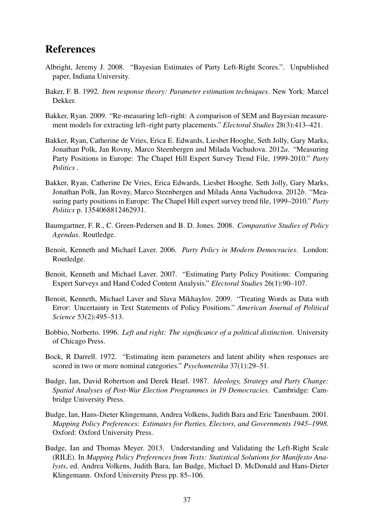# References

- <span id="page-37-10"></span>Albright, Jeremy J. 2008. "Bayesian Estimates of Party Left-Right Scores.". Unpublished paper, Indiana University.
- <span id="page-37-11"></span>Baker, F. B. 1992. *Item response theory: Parameter estimation techniques*. New York: Marcel Dekker.
- <span id="page-37-6"></span>Bakker, Ryan. 2009. "Re-measuring left–right: A comparison of SEM and Bayesian measurement models for extracting left–right party placements." *Electoral Studies* 28(3):413–421.
- <span id="page-37-12"></span>Bakker, Ryan, Catherine de Vries, Erica E. Edwards, Liesbet Hooghe, Seth Jolly, Gary Marks, Jonathan Polk, Jan Rovny, Marco Steenbergen and Milada Vachudova. 2012*a*. "Measuring Party Positions in Europe: The Chapel Hill Expert Survey Trend File, 1999-2010." *Party Politics* .
- <span id="page-37-1"></span>Bakker, Ryan, Catherine De Vries, Erica Edwards, Liesbet Hooghe, Seth Jolly, Gary Marks, Jonathan Polk, Jan Rovny, Marco Steenbergen and Milada Anna Vachudova. 2012*b*. "Measuring party positions in Europe: The Chapel Hill expert survey trend file, 1999–2010." *Party Politics* p. 1354068812462931.
- <span id="page-37-13"></span>Baumgartner, F. R., C. Green-Pedersen and B. D. Jones. 2008. *Comparative Studies of Policy Agendas*. Routledge.
- <span id="page-37-0"></span>Benoit, Kenneth and Michael Laver. 2006. *Party Policy in Modern Democracies*. London: Routledge.
- <span id="page-37-2"></span>Benoit, Kenneth and Michael Laver. 2007. "Estimating Party Policy Positions: Comparing Expert Surveys and Hand Coded Content Analysis." *Electoral Studies* 26(1):90–107.
- <span id="page-37-9"></span>Benoit, Kenneth, Michael Laver and Slava Mikhaylov. 2009. "Treating Words as Data with Error: Uncertainty in Text Statements of Policy Positions." *American Journal of Political Science* 53(2):495–513.
- <span id="page-37-5"></span>Bobbio, Norberto. 1996. *Left and right: The significance of a political distinction*. University of Chicago Press.
- <span id="page-37-4"></span>Bock, R Darrell. 1972. "Estimating item parameters and latent ability when responses are scored in two or more nominal categories." *Psychometrika* 37(1):29–51.
- <span id="page-37-7"></span>Budge, Ian, David Robertson and Derek Hearl. 1987. *Ideology, Strategy and Party Change: Spatial Analyses of Post-War Election Programmes in 19 Democracies*. Cambridge: Cambridge University Press.
- <span id="page-37-8"></span>Budge, Ian, Hans-Dieter Klingemann, Andrea Volkens, Judith Bara and Eric Tanenbaum. 2001. *Mapping Policy Preferences: Estimates for Parties, Electors, and Governments 1945–1998*. Oxford: Oxford University Press.
- <span id="page-37-3"></span>Budge, Ian and Thomas Meyer. 2013. Understanding and Validating the Left-Right Scale (RILE). In *Mapping Policy Preferences from Texts: Statistical Solutions for Manifesto Analysts*, ed. Andrea Volkens, Judith Bara, Ian Budge, Michael D. McDonald and Hans-Dieter Klingemann. Oxford University Press pp. 85–106.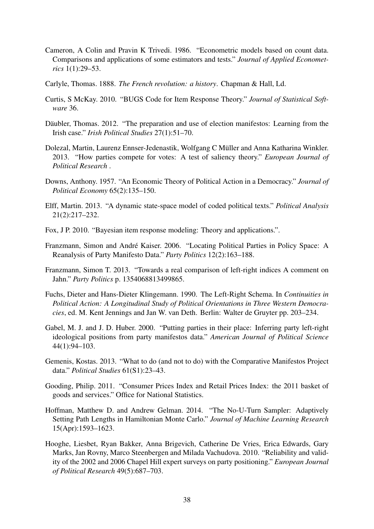- <span id="page-38-11"></span>Cameron, A Colin and Pravin K Trivedi. 1986. "Econometric models based on count data. Comparisons and applications of some estimators and tests." *Journal of Applied Econometrics* 1(1):29–53.
- <span id="page-38-0"></span>Carlyle, Thomas. 1888. *The French revolution: a history*. Chapman & Hall, Ld.
- <span id="page-38-15"></span>Curtis, S McKay. 2010. "BUGS Code for Item Response Theory." *Journal of Statistical Software* 36.
- <span id="page-38-9"></span>Däubler, Thomas. 2012. "The preparation and use of election manifestos: Learning from the Irish case." *Irish Political Studies* 27(1):51–70.
- <span id="page-38-8"></span>Dolezal, Martin, Laurenz Ennser-Jedenastik, Wolfgang C Müller and Anna Katharina Winkler. 2013. "How parties compete for votes: A test of saliency theory." *European Journal of Political Research* .
- <span id="page-38-2"></span>Downs, Anthony. 1957. "An Economic Theory of Political Action in a Democracy." *Journal of Political Economy* 65(2):135–150.
- <span id="page-38-10"></span>Elff, Martin. 2013. "A dynamic state-space model of coded political texts." *Political Analysis* 21(2):217–232.
- <span id="page-38-14"></span>Fox, J P. 2010. "Bayesian item response modeling: Theory and applications.".
- <span id="page-38-4"></span>Franzmann, Simon and Andre Kaiser. 2006. "Locating Political Parties in Policy Space: A ´ Reanalysis of Party Manifesto Data." *Party Politics* 12(2):163–188.
- <span id="page-38-1"></span>Franzmann, Simon T. 2013. "Towards a real comparison of left-right indices A comment on Jahn." *Party Politics* p. 1354068813499865.
- <span id="page-38-6"></span>Fuchs, Dieter and Hans-Dieter Klingemann. 1990. The Left-Right Schema. In *Continuities in Political Action: A Longitudinal Study of Political Orientations in Three Western Democracies*, ed. M. Kent Jennings and Jan W. van Deth. Berlin: Walter de Gruyter pp. 203–234.
- <span id="page-38-3"></span>Gabel, M. J. and J. D. Huber. 2000. "Putting parties in their place: Inferring party left-right ideological positions from party manifestos data." *American Journal of Political Science* 44(1):94–103.
- <span id="page-38-7"></span>Gemenis, Kostas. 2013. "What to do (and not to do) with the Comparative Manifestos Project data." *Political Studies* 61(S1):23–43.
- <span id="page-38-5"></span>Gooding, Philip. 2011. "Consumer Prices Index and Retail Prices Index: the 2011 basket of goods and services." Office for National Statistics.
- <span id="page-38-12"></span>Hoffman, Matthew D. and Andrew Gelman. 2014. "The No-U-Turn Sampler: Adaptively Setting Path Lengths in Hamiltonian Monte Carlo." *Journal of Machine Learning Research* 15(Apr):1593–1623.
- <span id="page-38-13"></span>Hooghe, Liesbet, Ryan Bakker, Anna Brigevich, Catherine De Vries, Erica Edwards, Gary Marks, Jan Rovny, Marco Steenbergen and Milada Vachudova. 2010. "Reliability and validity of the 2002 and 2006 Chapel Hill expert surveys on party positioning." *European Journal of Political Research* 49(5):687–703.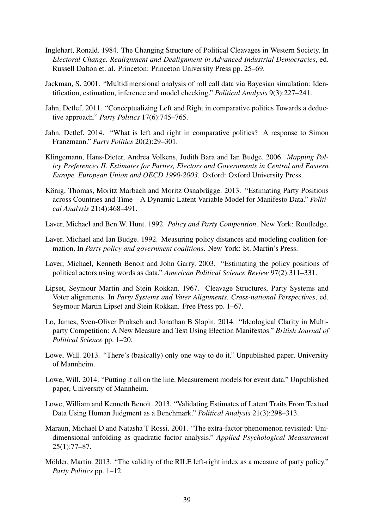- <span id="page-39-5"></span>Inglehart, Ronald. 1984. The Changing Structure of Political Cleavages in Western Society. In *Electoral Change, Realignment and Dealignment in Advanced Industrial Democracies*, ed. Russell Dalton et. al. Princeton: Princeton University Press pp. 25–69.
- <span id="page-39-8"></span>Jackman, S. 2001. "Multidimensional analysis of roll call data via Bayesian simulation: Identification, estimation, inference and model checking." *Political Analysis* 9(3):227–241.
- <span id="page-39-4"></span>Jahn, Detlef. 2011. "Conceptualizing Left and Right in comparative politics Towards a deductive approach." *Party Politics* 17(6):745–765.
- <span id="page-39-0"></span>Jahn, Detlef. 2014. "What is left and right in comparative politics? A response to Simon Franzmann." *Party Politics* 20(2):29–301.
- <span id="page-39-10"></span>Klingemann, Hans-Dieter, Andrea Volkens, Judith Bara and Ian Budge. 2006. *Mapping Policy Preferences II. Estimates for Parties, Electors and Governments in Central and Eastern Europe, European Union and OECD 1990-2003*. Oxford: Oxford University Press.
- <span id="page-39-6"></span>König, Thomas, Moritz Marbach and Moritz Osnabrügge. 2013. "Estimating Party Positions across Countries and Time—A Dynamic Latent Variable Model for Manifesto Data." *Political Analysis* 21(4):468–491.
- <span id="page-39-15"></span>Laver, Michael and Ben W. Hunt. 1992. *Policy and Party Competition*. New York: Routledge.
- <span id="page-39-2"></span>Laver, Michael and Ian Budge. 1992. Measuring policy distances and modeling coalition formation. In *Party policy and government coalitions*. New York: St. Martin's Press.
- <span id="page-39-1"></span>Laver, Michael, Kenneth Benoit and John Garry. 2003. "Estimating the policy positions of political actors using words as data." *American Political Science Review* 97(2):311–331.
- <span id="page-39-7"></span>Lipset, Seymour Martin and Stein Rokkan. 1967. Cleavage Structures, Party Systems and Voter alignments. In *Party Systems and Voter Alignments. Cross-national Perspectives*, ed. Seymour Martin Lipset and Stein Rokkan. Free Press pp. 1–67.
- <span id="page-39-11"></span>Lo, James, Sven-Oliver Proksch and Jonathan B Slapin. 2014. "Ideological Clarity in Multiparty Competition: A New Measure and Test Using Election Manifestos." *British Journal of Political Science* pp. 1–20.
- <span id="page-39-13"></span>Lowe, Will. 2013. "There's (basically) only one way to do it." Unpublished paper, University of Mannheim.
- <span id="page-39-12"></span>Lowe, Will. 2014. "Putting it all on the line. Measurement models for event data." Unpublished paper, University of Mannheim.
- <span id="page-39-14"></span>Lowe, William and Kenneth Benoit. 2013. "Validating Estimates of Latent Traits From Textual Data Using Human Judgment as a Benchmark." *Political Analysis* 21(3):298–313.
- <span id="page-39-9"></span>Maraun, Michael D and Natasha T Rossi. 2001. "The extra-factor phenomenon revisited: Unidimensional unfolding as quadratic factor analysis." *Applied Psychological Measurement* 25(1):77–87.
- <span id="page-39-3"></span>Mölder, Martin. 2013. "The validity of the RILE left-right index as a measure of party policy." *Party Politics* pp. 1–12.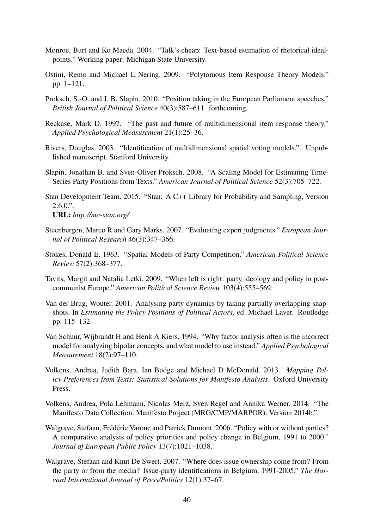- <span id="page-40-7"></span>Monroe, Burt and Ko Maeda. 2004. "Talk's cheap: Text-based estimation of rhetorical idealpoints." Working paper: Michigan State University.
- <span id="page-40-9"></span>Ostini, Remo and Michael L Nering. 2009. "Polytomous Item Response Theory Models." pp. 1–121.
- <span id="page-40-0"></span>Proksch, S.-O. and J. B. Slapin. 2010. "Position taking in the European Parliament speeches." *British Journal of Political Science* 40(3):587–611. forthcoming.
- <span id="page-40-4"></span>Reckase, Mark D. 1997. "The past and future of multidimensional item response theory." *Applied Psychological Measurement* 21(1):25–36.
- <span id="page-40-13"></span>Rivers, Douglas. 2003. "Identification of multidimensional spatial voting models.". Unpublished manuscript, Stanford University.
- <span id="page-40-1"></span>Slapin, Jonathan B. and Sven-Oliver Proksch. 2008. "A Scaling Model for Estimating Time-Series Party Positions from Texts." *American Journal of Political Science* 52(3):705–722.
- <span id="page-40-10"></span>Stan Development Team. 2015. "Stan: A C++ Library for Probability and Sampling, Version  $2.6.0$ .". URL: *http://mc-stan.org/*
- <span id="page-40-12"></span>Steenbergen, Marco R and Gary Marks. 2007. "Evaluating expert judgments." *European Journal of Political Research* 46(3):347–366.
- <span id="page-40-8"></span>Stokes, Donald E. 1963. "Spatial Models of Party Competition." *American Political Science Review* 57(2):368–377.
- <span id="page-40-2"></span>Tavits, Margit and Natalia Letki. 2009. "When left is right: party ideology and policy in postcommunist Europe." *American Political Science Review* 103(4):555–569.
- <span id="page-40-3"></span>Van der Brug, Wouter. 2001. Analysing party dynamics by taking partially overlapping snapshots. In *Estimating the Policy Positions of Political Actors*, ed. Michael Laver. Routledge pp. 115–132.
- <span id="page-40-5"></span>Van Schuur, Wijbrandt H and Henk A Kiers. 1994. "Why factor analysis often is the incorrect model for analyzing bipolar concepts, and what model to use instead." *Applied Psychological Measurement* 18(2):97–110.
- <span id="page-40-6"></span>Volkens, Andrea, Judith Bara, Ian Budge and Michael D McDonald. 2013. *Mapping Policy Preferences from Texts: Statistical Solutions for Manifesto Analysts*. Oxford University Press.
- <span id="page-40-11"></span>Volkens, Andrea, Pola Lehmann, Nicolas Merz, Sven Regel and Annika Werner. 2014. "The Manifesto Data Collection. Manifesto Project (MRG/CMP/MARPOR). Version 2014b.".
- <span id="page-40-15"></span>Walgrave, Stefaan, Frédéric Varone and Patrick Dumont. 2006. "Policy with or without parties? A comparative analysis of policy priorities and policy change in Belgium, 1991 to 2000." *Journal of European Public Policy* 13(7):1021–1038.
- <span id="page-40-14"></span>Walgrave, Stefaan and Knut De Swert. 2007. "Where does issue ownership come from? From the party or from the media? Issue-party identifications in Belgium, 1991-2005." *The Harvard International Journal of Press/Politics* 12(1):37–67.